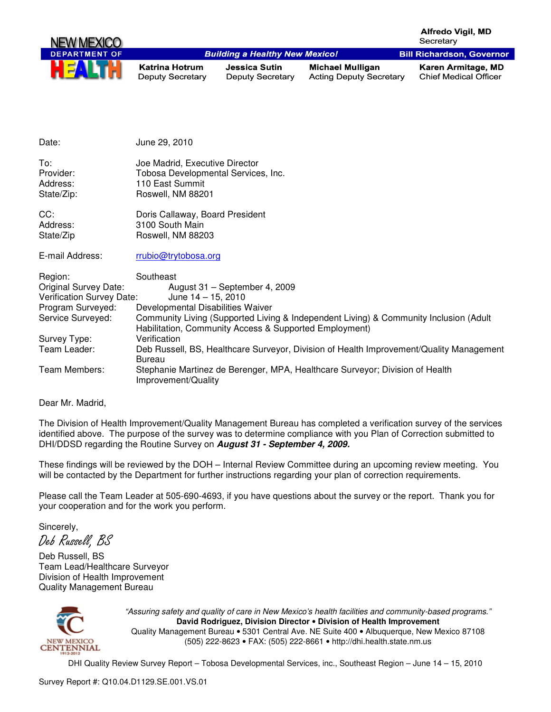

| Date:                                      | June 29, 2010                                                                                                                                   |
|--------------------------------------------|-------------------------------------------------------------------------------------------------------------------------------------------------|
| To:<br>Provider:<br>Address:<br>State/Zip: | Joe Madrid, Executive Director<br>Tobosa Developmental Services, Inc.<br>110 East Summit<br>Roswell, NM 88201                                   |
| CC:                                        | Doris Callaway, Board President                                                                                                                 |
| Address:                                   | 3100 South Main                                                                                                                                 |
| State/Zip                                  | Roswell, NM 88203                                                                                                                               |
| E-mail Address:                            | rrubio@trytobosa.org                                                                                                                            |
| Region:                                    | Southeast                                                                                                                                       |
| <b>Original Survey Date:</b>               | August 31 - September 4, 2009                                                                                                                   |
| Verification Survey Date:                  | June $14 - 15$ , 2010                                                                                                                           |
| Program Surveyed:                          | Developmental Disabilities Waiver                                                                                                               |
| Service Surveyed:                          | Community Living (Supported Living & Independent Living) & Community Inclusion (Adult<br>Habilitation, Community Access & Supported Employment) |
| Survey Type:                               | Verification                                                                                                                                    |
| Team Leader:                               | Deb Russell, BS, Healthcare Surveyor, Division of Health Improvement/Quality Management<br>Bureau                                               |
| Team Members:                              | Stephanie Martinez de Berenger, MPA, Healthcare Surveyor; Division of Health<br>Improvement/Quality                                             |

Dear Mr. Madrid,

The Division of Health Improvement/Quality Management Bureau has completed a verification survey of the services identified above. The purpose of the survey was to determine compliance with you Plan of Correction submitted to DHI/DDSD regarding the Routine Survey on **August 31 - September 4, 2009.** 

These findings will be reviewed by the DOH – Internal Review Committee during an upcoming review meeting. You will be contacted by the Department for further instructions regarding your plan of correction requirements.

Please call the Team Leader at 505-690-4693, if you have questions about the survey or the report. Thank you for your cooperation and for the work you perform.

Sincerely,

Deb Russell, BS

Deb Russell, BS Team Lead/Healthcare Surveyor Division of Health Improvement Quality Management Bureau



"Assuring safety and quality of care in New Mexico's health facilities and community-based programs." **David Rodriguez, Division Director** • **Division of Health Improvement**  Quality Management Bureau • 5301 Central Ave. NE Suite 400 • Albuquerque, New Mexico 87108 (505) 222-8623 • FAX: (505) 222-8661 • http://dhi.health.state.nm.us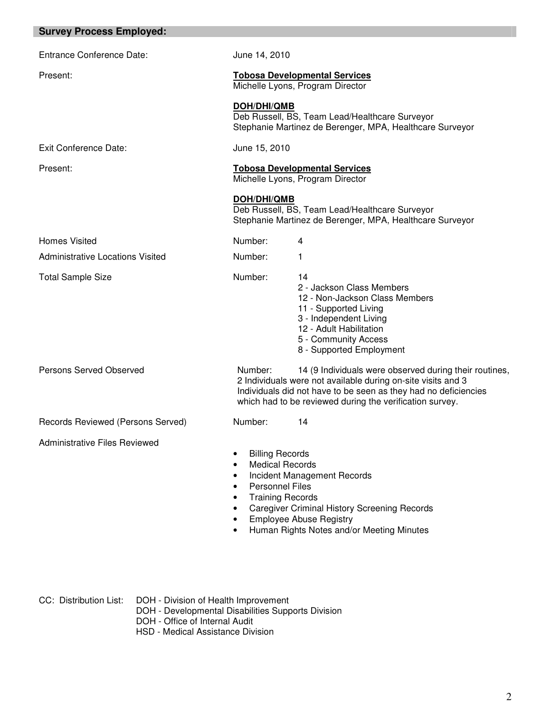| <b>Survey Process Employed:</b>         |                                                                                                                                                                                                                                                                                                                                                          |  |
|-----------------------------------------|----------------------------------------------------------------------------------------------------------------------------------------------------------------------------------------------------------------------------------------------------------------------------------------------------------------------------------------------------------|--|
| Entrance Conference Date:               | June 14, 2010                                                                                                                                                                                                                                                                                                                                            |  |
| Present:                                | <b>Tobosa Developmental Services</b><br>Michelle Lyons, Program Director                                                                                                                                                                                                                                                                                 |  |
|                                         | <b>DOH/DHI/QMB</b><br>Deb Russell, BS, Team Lead/Healthcare Surveyor<br>Stephanie Martinez de Berenger, MPA, Healthcare Surveyor                                                                                                                                                                                                                         |  |
| <b>Exit Conference Date:</b>            | June 15, 2010                                                                                                                                                                                                                                                                                                                                            |  |
| Present:                                | <b>Tobosa Developmental Services</b><br>Michelle Lyons, Program Director                                                                                                                                                                                                                                                                                 |  |
|                                         | <b>DOH/DHI/QMB</b><br>Deb Russell, BS, Team Lead/Healthcare Surveyor<br>Stephanie Martinez de Berenger, MPA, Healthcare Surveyor                                                                                                                                                                                                                         |  |
| <b>Homes Visited</b>                    | Number:<br>4                                                                                                                                                                                                                                                                                                                                             |  |
| <b>Administrative Locations Visited</b> | Number:<br>1                                                                                                                                                                                                                                                                                                                                             |  |
| <b>Total Sample Size</b>                | Number:<br>14<br>2 - Jackson Class Members<br>12 - Non-Jackson Class Members<br>11 - Supported Living<br>3 - Independent Living<br>12 - Adult Habilitation<br>5 - Community Access<br>8 - Supported Employment                                                                                                                                           |  |
| Persons Served Observed                 | Number:<br>14 (9 Individuals were observed during their routines,<br>2 Individuals were not available during on-site visits and 3<br>Individuals did not have to be seen as they had no deficiencies<br>which had to be reviewed during the verification survey.                                                                                         |  |
| Records Reviewed (Persons Served)       | Number:<br>14                                                                                                                                                                                                                                                                                                                                            |  |
| <b>Administrative Files Reviewed</b>    | <b>Billing Records</b><br><b>Medical Records</b><br>$\bullet$<br>Incident Management Records<br>$\bullet$<br><b>Personnel Files</b><br>$\bullet$<br><b>Training Records</b><br>$\bullet$<br><b>Caregiver Criminal History Screening Records</b><br>$\bullet$<br><b>Employee Abuse Registry</b><br>Human Rights Notes and/or Meeting Minutes<br>$\bullet$ |  |

CC: Distribution List: DOH - Division of Health Improvement

DOH - Developmental Disabilities Supports Division

DOH - Office of Internal Audit

HSD - Medical Assistance Division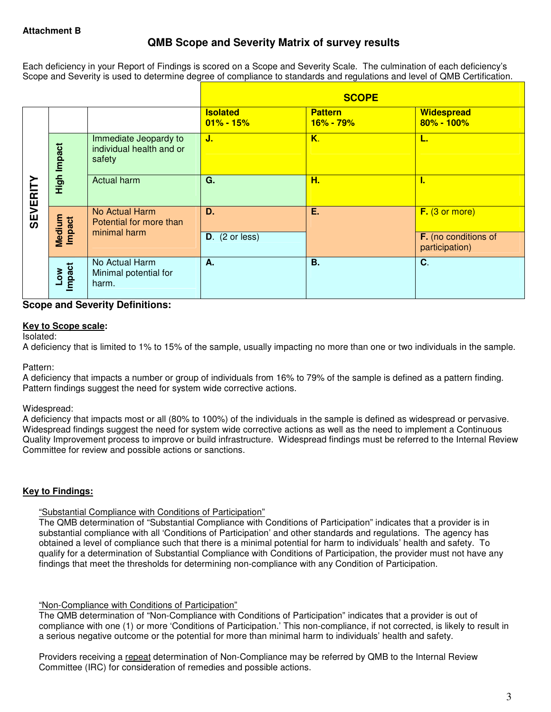# **QMB Scope and Severity Matrix of survey results**

Each deficiency in your Report of Findings is scored on a Scope and Severity Scale. The culmination of each deficiency's Scope and Severity is used to determine degree of compliance to standards and regulations and level of QMB Certification.

|                 |                  |                                                             |                                  | <b>SCOPE</b>                         |                                        |
|-----------------|------------------|-------------------------------------------------------------|----------------------------------|--------------------------------------|----------------------------------------|
|                 |                  |                                                             | <b>Isolated</b><br>$01\% - 15\%$ | <b>Pattern</b><br><u> 16% - 79% </u> | <b>Widespread</b><br>80% - 100%        |
|                 | High Impact      | Immediate Jeopardy to<br>individual health and or<br>safety | J.                               | K.                                   | ъ.                                     |
| <b>SEVERITY</b> |                  | Actual harm                                                 | G.                               | H.                                   | т.                                     |
|                 | Medium<br>Impact | No Actual Harm<br>Potential for more than                   | D.                               | Ε.                                   | F. (3 or more)                         |
|                 |                  | minimal harm                                                | $D.$ (2 or less)                 |                                      | F. (no conditions of<br>participation) |
|                 | Impact<br>Low    | No Actual Harm<br>Minimal potential for<br>harm.            | Α.                               | <b>B.</b>                            | $C$ .                                  |

## **Scope and Severity Definitions:**

#### **Key to Scope scale:**

Isolated:

A deficiency that is limited to 1% to 15% of the sample, usually impacting no more than one or two individuals in the sample.

#### Pattern:

A deficiency that impacts a number or group of individuals from 16% to 79% of the sample is defined as a pattern finding. Pattern findings suggest the need for system wide corrective actions.

### Widespread:

A deficiency that impacts most or all (80% to 100%) of the individuals in the sample is defined as widespread or pervasive. Widespread findings suggest the need for system wide corrective actions as well as the need to implement a Continuous Quality Improvement process to improve or build infrastructure. Widespread findings must be referred to the Internal Review Committee for review and possible actions or sanctions.

### **Key to Findings:**

### "Substantial Compliance with Conditions of Participation"

The QMB determination of "Substantial Compliance with Conditions of Participation" indicates that a provider is in substantial compliance with all 'Conditions of Participation' and other standards and regulations. The agency has obtained a level of compliance such that there is a minimal potential for harm to individuals' health and safety. To qualify for a determination of Substantial Compliance with Conditions of Participation, the provider must not have any findings that meet the thresholds for determining non-compliance with any Condition of Participation.

### "Non-Compliance with Conditions of Participation"

The QMB determination of "Non-Compliance with Conditions of Participation" indicates that a provider is out of compliance with one (1) or more 'Conditions of Participation.' This non-compliance, if not corrected, is likely to result in a serious negative outcome or the potential for more than minimal harm to individuals' health and safety.

Providers receiving a repeat determination of Non-Compliance may be referred by QMB to the Internal Review Committee (IRC) for consideration of remedies and possible actions.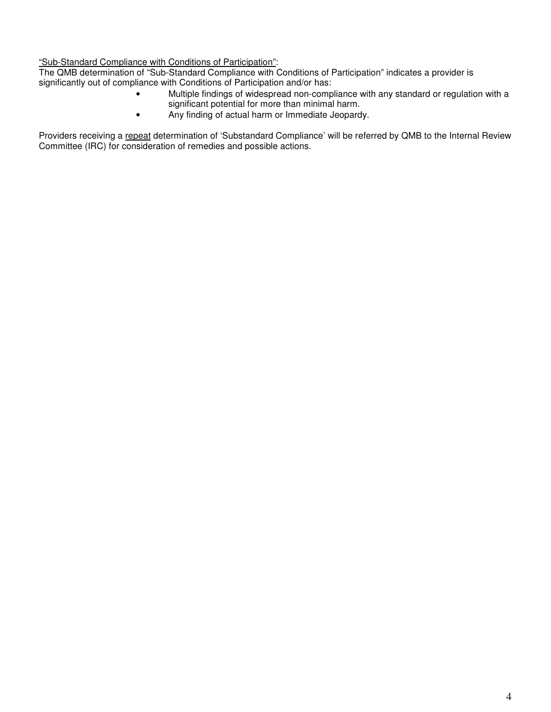"Sub-Standard Compliance with Conditions of Participation":

The QMB determination of "Sub-Standard Compliance with Conditions of Participation" indicates a provider is significantly out of compliance with Conditions of Participation and/or has:

- Multiple findings of widespread non-compliance with any standard or regulation with a significant potential for more than minimal harm.
- Any finding of actual harm or Immediate Jeopardy.

Providers receiving a repeat determination of 'Substandard Compliance' will be referred by QMB to the Internal Review Committee (IRC) for consideration of remedies and possible actions.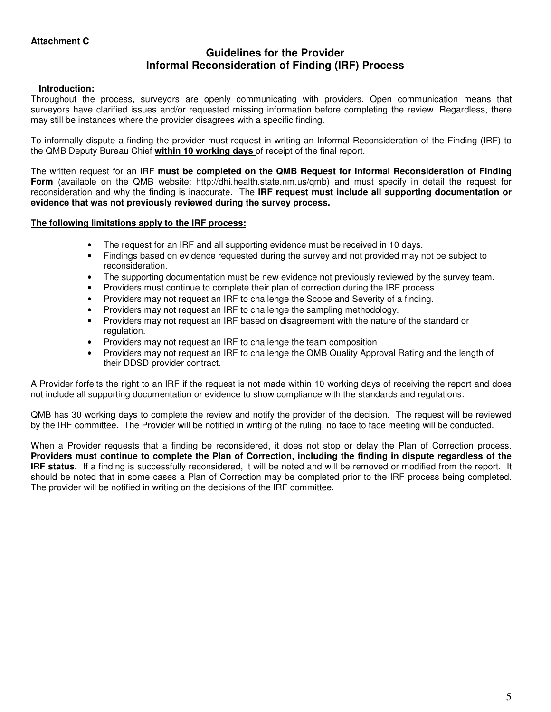## **Guidelines for the Provider Informal Reconsideration of Finding (IRF) Process**

### **Introduction:**

Throughout the process, surveyors are openly communicating with providers. Open communication means that surveyors have clarified issues and/or requested missing information before completing the review. Regardless, there may still be instances where the provider disagrees with a specific finding.

To informally dispute a finding the provider must request in writing an Informal Reconsideration of the Finding (IRF) to the QMB Deputy Bureau Chief **within 10 working days** of receipt of the final report.

The written request for an IRF **must be completed on the QMB Request for Informal Reconsideration of Finding Form** (available on the QMB website: http://dhi.health.state.nm.us/qmb) and must specify in detail the request for reconsideration and why the finding is inaccurate. The **IRF request must include all supporting documentation or evidence that was not previously reviewed during the survey process.** 

#### **The following limitations apply to the IRF process:**

- The request for an IRF and all supporting evidence must be received in 10 days.
- Findings based on evidence requested during the survey and not provided may not be subject to reconsideration.
- The supporting documentation must be new evidence not previously reviewed by the survey team.
- Providers must continue to complete their plan of correction during the IRF process
- Providers may not request an IRF to challenge the Scope and Severity of a finding.
- Providers may not request an IRF to challenge the sampling methodology.
- Providers may not request an IRF based on disagreement with the nature of the standard or regulation.
- Providers may not request an IRF to challenge the team composition
- Providers may not request an IRF to challenge the QMB Quality Approval Rating and the length of their DDSD provider contract.

A Provider forfeits the right to an IRF if the request is not made within 10 working days of receiving the report and does not include all supporting documentation or evidence to show compliance with the standards and regulations.

QMB has 30 working days to complete the review and notify the provider of the decision. The request will be reviewed by the IRF committee. The Provider will be notified in writing of the ruling, no face to face meeting will be conducted.

When a Provider requests that a finding be reconsidered, it does not stop or delay the Plan of Correction process. **Providers must continue to complete the Plan of Correction, including the finding in dispute regardless of the IRF status.** If a finding is successfully reconsidered, it will be noted and will be removed or modified from the report. It should be noted that in some cases a Plan of Correction may be completed prior to the IRF process being completed. The provider will be notified in writing on the decisions of the IRF committee.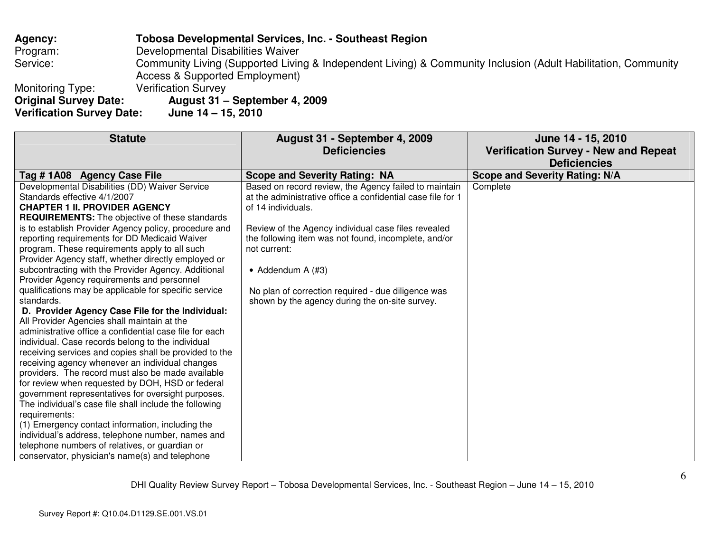**Agency: Tobosa Developmental Services, Inc. - Southeast Region** Program: Developmental Disabilities Waiver<br>Service: Community Living (Supported Living Service: Community Living (Supported Living & Independent Living) & Community Inclusion (Adult Habilitation, Community Access & Supported Employment) Monitoring Type: Verification Survey<br> **Original Survey Date: August 31 -**

**Verification Survey Date: June 14 – 15, 2010** 

**Original Survey Date: August 31 – September 4, 2009** 

| <b>Statute</b><br>August 31 - September 4, 2009                                                              | June 14 - 15, 2010                          |
|--------------------------------------------------------------------------------------------------------------|---------------------------------------------|
| <b>Deficiencies</b>                                                                                          | <b>Verification Survey - New and Repeat</b> |
|                                                                                                              | <b>Deficiencies</b>                         |
| Tag #1A08 Agency Case File<br><b>Scope and Severity Rating: NA</b>                                           | <b>Scope and Severity Rating: N/A</b>       |
| Developmental Disabilities (DD) Waiver Service<br>Based on record review, the Agency failed to maintain      | Complete                                    |
| Standards effective 4/1/2007<br>at the administrative office a confidential case file for 1                  |                                             |
| <b>CHAPTER 1 II. PROVIDER AGENCY</b><br>of 14 individuals.                                                   |                                             |
| <b>REQUIREMENTS:</b> The objective of these standards                                                        |                                             |
| is to establish Provider Agency policy, procedure and<br>Review of the Agency individual case files revealed |                                             |
| reporting requirements for DD Medicaid Waiver<br>the following item was not found, incomplete, and/or        |                                             |
| program. These requirements apply to all such<br>not current:                                                |                                             |
| Provider Agency staff, whether directly employed or                                                          |                                             |
| subcontracting with the Provider Agency. Additional<br>• Addendum A $(#3)$                                   |                                             |
| Provider Agency requirements and personnel                                                                   |                                             |
| qualifications may be applicable for specific service<br>No plan of correction required - due diligence was  |                                             |
| standards.<br>shown by the agency during the on-site survey.                                                 |                                             |
| D. Provider Agency Case File for the Individual:                                                             |                                             |
| All Provider Agencies shall maintain at the                                                                  |                                             |
| administrative office a confidential case file for each                                                      |                                             |
| individual. Case records belong to the individual                                                            |                                             |
| receiving services and copies shall be provided to the                                                       |                                             |
| receiving agency whenever an individual changes                                                              |                                             |
| providers. The record must also be made available                                                            |                                             |
| for review when requested by DOH, HSD or federal                                                             |                                             |
| government representatives for oversight purposes.                                                           |                                             |
| The individual's case file shall include the following                                                       |                                             |
| requirements:                                                                                                |                                             |
| (1) Emergency contact information, including the<br>individual's address, telephone number, names and        |                                             |
| telephone numbers of relatives, or guardian or                                                               |                                             |
| conservator, physician's name(s) and telephone                                                               |                                             |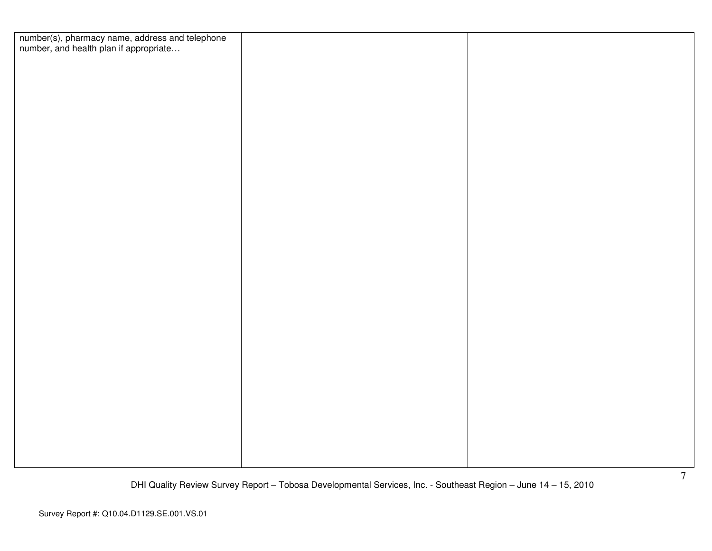| number(s), pharmacy name, address and telephone<br>number, and health plan if appropriate |  |
|-------------------------------------------------------------------------------------------|--|
|                                                                                           |  |
|                                                                                           |  |
|                                                                                           |  |
|                                                                                           |  |
|                                                                                           |  |
|                                                                                           |  |
|                                                                                           |  |
|                                                                                           |  |
|                                                                                           |  |
|                                                                                           |  |
|                                                                                           |  |
|                                                                                           |  |
|                                                                                           |  |
|                                                                                           |  |
|                                                                                           |  |
|                                                                                           |  |
|                                                                                           |  |
|                                                                                           |  |
|                                                                                           |  |
|                                                                                           |  |
|                                                                                           |  |
|                                                                                           |  |
|                                                                                           |  |
|                                                                                           |  |
|                                                                                           |  |
|                                                                                           |  |
|                                                                                           |  |
|                                                                                           |  |
|                                                                                           |  |
|                                                                                           |  |
|                                                                                           |  |
|                                                                                           |  |
|                                                                                           |  |
|                                                                                           |  |
|                                                                                           |  |
|                                                                                           |  |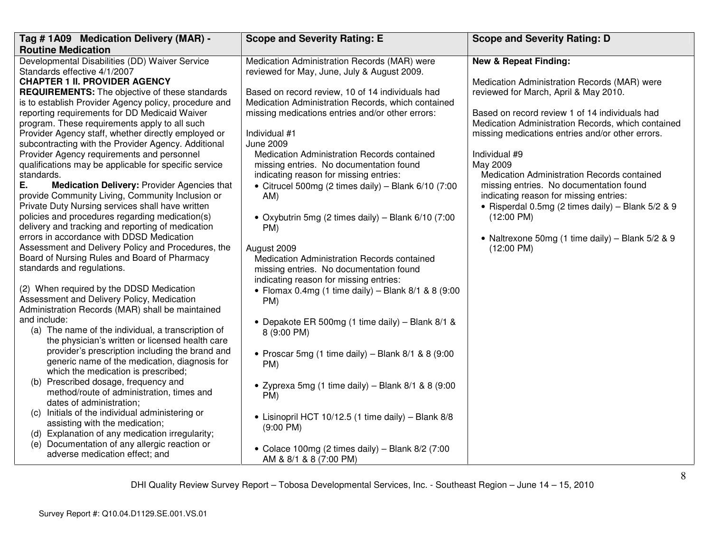| Tag # 1A09 Medication Delivery (MAR) -                                                              | <b>Scope and Severity Rating: E</b>                                                    | <b>Scope and Severity Rating: D</b>                |
|-----------------------------------------------------------------------------------------------------|----------------------------------------------------------------------------------------|----------------------------------------------------|
| <b>Routine Medication</b>                                                                           |                                                                                        |                                                    |
| Developmental Disabilities (DD) Waiver Service                                                      | Medication Administration Records (MAR) were                                           | <b>New &amp; Repeat Finding:</b>                   |
| Standards effective 4/1/2007                                                                        | reviewed for May, June, July & August 2009.                                            |                                                    |
| <b>CHAPTER 1 II. PROVIDER AGENCY</b>                                                                |                                                                                        | Medication Administration Records (MAR) were       |
| <b>REQUIREMENTS:</b> The objective of these standards                                               | Based on record review, 10 of 14 individuals had                                       | reviewed for March, April & May 2010.              |
| is to establish Provider Agency policy, procedure and                                               | Medication Administration Records, which contained                                     |                                                    |
| reporting requirements for DD Medicaid Waiver                                                       | missing medications entries and/or other errors:                                       | Based on record review 1 of 14 individuals had     |
| program. These requirements apply to all such                                                       |                                                                                        | Medication Administration Records, which contained |
| Provider Agency staff, whether directly employed or                                                 | Individual #1                                                                          | missing medications entries and/or other errors.   |
| subcontracting with the Provider Agency. Additional                                                 | <b>June 2009</b>                                                                       |                                                    |
| Provider Agency requirements and personnel<br>qualifications may be applicable for specific service | Medication Administration Records contained<br>missing entries. No documentation found | Individual #9<br>May 2009                          |
| standards.                                                                                          | indicating reason for missing entries:                                                 | Medication Administration Records contained        |
| Е.<br><b>Medication Delivery: Provider Agencies that</b>                                            | • Citrucel 500mg (2 times daily) - Blank $6/10$ (7:00                                  | missing entries. No documentation found            |
| provide Community Living, Community Inclusion or                                                    | AM)                                                                                    | indicating reason for missing entries:             |
| Private Duty Nursing services shall have written                                                    |                                                                                        | · Risperdal 0.5mg (2 times daily) - Blank 5/2 & 9  |
| policies and procedures regarding medication(s)                                                     | • Oxybutrin 5mg (2 times daily) – Blank $6/10$ (7:00                                   | $(12:00 \text{ PM})$                               |
| delivery and tracking and reporting of medication                                                   | PM)                                                                                    |                                                    |
| errors in accordance with DDSD Medication                                                           |                                                                                        | • Naltrexone 50mg (1 time daily) - Blank 5/2 & 9   |
| Assessment and Delivery Policy and Procedures, the                                                  | August 2009                                                                            | $(12:00 \text{ PM})$                               |
| Board of Nursing Rules and Board of Pharmacy                                                        | Medication Administration Records contained                                            |                                                    |
| standards and regulations.                                                                          | missing entries. No documentation found                                                |                                                    |
|                                                                                                     | indicating reason for missing entries:                                                 |                                                    |
| (2) When required by the DDSD Medication                                                            | • Flomax 0.4mg (1 time daily) – Blank $8/1$ & 8 (9:00                                  |                                                    |
| Assessment and Delivery Policy, Medication                                                          | PM)                                                                                    |                                                    |
| Administration Records (MAR) shall be maintained                                                    |                                                                                        |                                                    |
| and include:                                                                                        | • Depakote ER 500mg (1 time daily) - Blank 8/1 &                                       |                                                    |
| (a) The name of the individual, a transcription of                                                  | 8 (9:00 PM)                                                                            |                                                    |
| the physician's written or licensed health care                                                     |                                                                                        |                                                    |
| provider's prescription including the brand and                                                     | • Proscar 5mg (1 time daily) – Blank $8/1$ & $8$ (9:00                                 |                                                    |
| generic name of the medication, diagnosis for                                                       | PM)                                                                                    |                                                    |
| which the medication is prescribed;<br>(b) Prescribed dosage, frequency and                         |                                                                                        |                                                    |
| method/route of administration, times and                                                           | • Zyprexa 5mg (1 time daily) – Blank $8/1$ & 8 (9:00                                   |                                                    |
| dates of administration;                                                                            | PM)                                                                                    |                                                    |
| (c) Initials of the individual administering or                                                     |                                                                                        |                                                    |
| assisting with the medication;                                                                      | • Lisinopril HCT 10/12.5 (1 time daily) - Blank 8/8                                    |                                                    |
| (d) Explanation of any medication irregularity;                                                     | $(9:00$ PM)                                                                            |                                                    |
| (e) Documentation of any allergic reaction or                                                       |                                                                                        |                                                    |
| adverse medication effect; and                                                                      | • Colace 100mg (2 times daily) – Blank $8/2$ (7:00                                     |                                                    |
|                                                                                                     | AM & 8/1 & 8 (7:00 PM)                                                                 |                                                    |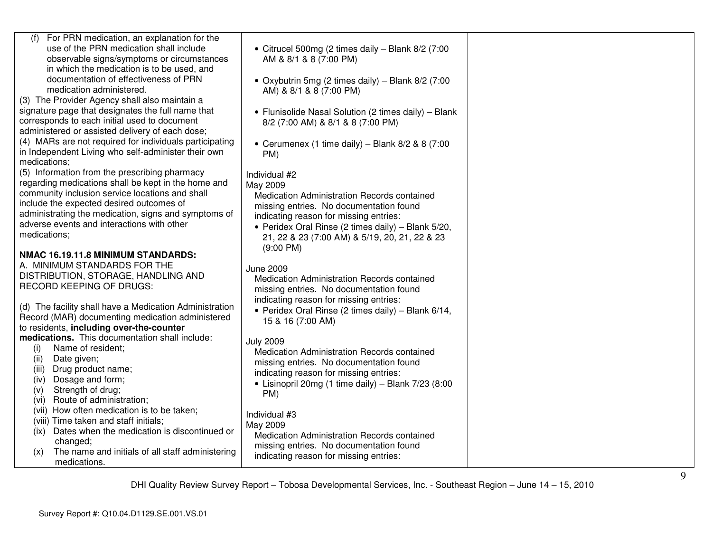| For PRN medication, an explanation for the<br>(f)<br>use of the PRN medication shall include<br>observable signs/symptoms or circumstances<br>in which the medication is to be used, and                                                                                                                                  | • Citrucel 500mg (2 times daily - Blank 8/2 (7:00<br>AM & 8/1 & 8 (7:00 PM)                                                                                                                                                                                                                 |  |
|---------------------------------------------------------------------------------------------------------------------------------------------------------------------------------------------------------------------------------------------------------------------------------------------------------------------------|---------------------------------------------------------------------------------------------------------------------------------------------------------------------------------------------------------------------------------------------------------------------------------------------|--|
| documentation of effectiveness of PRN<br>medication administered.<br>(3) The Provider Agency shall also maintain a                                                                                                                                                                                                        | • Oxybutrin 5mg (2 times daily) – Blank $8/2$ (7:00<br>AM) & 8/1 & 8 (7:00 PM)                                                                                                                                                                                                              |  |
| signature page that designates the full name that<br>corresponds to each initial used to document<br>administered or assisted delivery of each dose;                                                                                                                                                                      | • Flunisolide Nasal Solution (2 times daily) - Blank<br>8/2 (7:00 AM) & 8/1 & 8 (7:00 PM)                                                                                                                                                                                                   |  |
| (4) MARs are not required for individuals participating<br>in Independent Living who self-administer their own<br>medications;                                                                                                                                                                                            | • Cerumenex (1 time daily) – Blank $8/2$ & $8$ (7:00)<br>PM)                                                                                                                                                                                                                                |  |
| (5) Information from the prescribing pharmacy<br>regarding medications shall be kept in the home and<br>community inclusion service locations and shall<br>include the expected desired outcomes of<br>administrating the medication, signs and symptoms of<br>adverse events and interactions with other<br>medications; | Individual #2<br>May 2009<br>Medication Administration Records contained<br>missing entries. No documentation found<br>indicating reason for missing entries:<br>• Peridex Oral Rinse (2 times daily) - Blank 5/20,<br>21, 22 & 23 (7:00 AM) & 5/19, 20, 21, 22 & 23<br>$(9:00 \text{ PM})$ |  |
| NMAC 16.19.11.8 MINIMUM STANDARDS:<br>A. MINIMUM STANDARDS FOR THE<br>DISTRIBUTION, STORAGE, HANDLING AND<br>RECORD KEEPING OF DRUGS:<br>(d) The facility shall have a Medication Administration                                                                                                                          | <b>June 2009</b><br>Medication Administration Records contained<br>missing entries. No documentation found<br>indicating reason for missing entries:<br>• Peridex Oral Rinse (2 times daily) - Blank 6/14,                                                                                  |  |
| Record (MAR) documenting medication administered<br>to residents, including over-the-counter                                                                                                                                                                                                                              | 15 & 16 (7:00 AM)                                                                                                                                                                                                                                                                           |  |
| medications. This documentation shall include:<br>Name of resident;<br>(i)<br>Date given;<br>(ii)<br>Drug product name;<br>(iii)<br>Dosage and form;<br>(iv)<br>Strength of drug;<br>(v)<br>Route of administration;<br>(vi)                                                                                              | <b>July 2009</b><br>Medication Administration Records contained<br>missing entries. No documentation found<br>indicating reason for missing entries:<br>• Lisinopril 20mg (1 time daily) – Blank $7/23$ (8:00<br>PM)                                                                        |  |
| (vii) How often medication is to be taken;<br>(viii) Time taken and staff initials;<br>(ix) Dates when the medication is discontinued or<br>changed;<br>The name and initials of all staff administering<br>(x)<br>medications.                                                                                           | Individual #3<br>May 2009<br>Medication Administration Records contained<br>missing entries. No documentation found<br>indicating reason for missing entries:                                                                                                                               |  |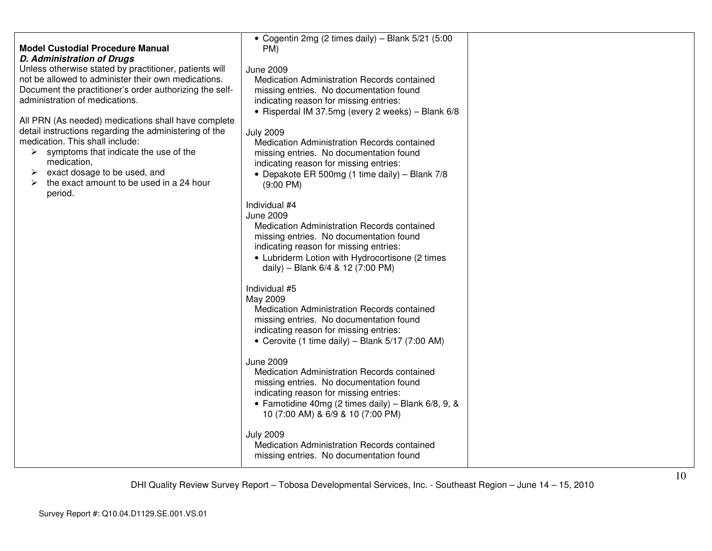| <b>Model Custodial Procedure Manual</b><br><b>D. Administration of Drugs</b><br>Unless otherwise stated by practitioner, patients will<br>not be allowed to administer their own medications.<br>Document the practitioner's order authorizing the self-<br>administration of medications.<br>All PRN (As needed) medications shall have complete<br>detail instructions regarding the administering of the<br>medication. This shall include:<br>$\triangleright$ symptoms that indicate the use of the<br>medication,<br>exact dosage to be used, and<br>➤<br>the exact amount to be used in a 24 hour<br>➤<br>period. | • Cogentin 2mg (2 times daily) - Blank 5/21 (5:00<br>PM)<br><b>June 2009</b><br>Medication Administration Records contained<br>missing entries. No documentation found<br>indicating reason for missing entries:<br>• Risperdal IM 37.5mg (every 2 weeks) - Blank 6/8<br><b>July 2009</b><br>Medication Administration Records contained<br>missing entries. No documentation found<br>indicating reason for missing entries:<br>• Depakote ER 500mg (1 time daily) - Blank 7/8<br>$(9:00 \text{ PM})$<br>Individual #4<br><b>June 2009</b><br>Medication Administration Records contained<br>missing entries. No documentation found<br>indicating reason for missing entries:<br>• Lubriderm Lotion with Hydrocortisone (2 times<br>daily) - Blank 6/4 & 12 (7:00 PM)<br>Individual #5<br>May 2009<br>Medication Administration Records contained<br>missing entries. No documentation found<br>indicating reason for missing entries:<br>• Cerovite (1 time daily) – Blank $5/17$ (7:00 AM)<br><b>June 2009</b><br>Medication Administration Records contained<br>missing entries. No documentation found<br>indicating reason for missing entries:<br>• Famotidine 40mg (2 times daily) – Blank $6/8$ , 9, &<br>10 (7:00 AM) & 6/9 & 10 (7:00 PM)<br><b>July 2009</b><br>Medication Administration Records contained<br>missing entries. No documentation found |  |
|--------------------------------------------------------------------------------------------------------------------------------------------------------------------------------------------------------------------------------------------------------------------------------------------------------------------------------------------------------------------------------------------------------------------------------------------------------------------------------------------------------------------------------------------------------------------------------------------------------------------------|---------------------------------------------------------------------------------------------------------------------------------------------------------------------------------------------------------------------------------------------------------------------------------------------------------------------------------------------------------------------------------------------------------------------------------------------------------------------------------------------------------------------------------------------------------------------------------------------------------------------------------------------------------------------------------------------------------------------------------------------------------------------------------------------------------------------------------------------------------------------------------------------------------------------------------------------------------------------------------------------------------------------------------------------------------------------------------------------------------------------------------------------------------------------------------------------------------------------------------------------------------------------------------------------------------------------------------------------------------------------|--|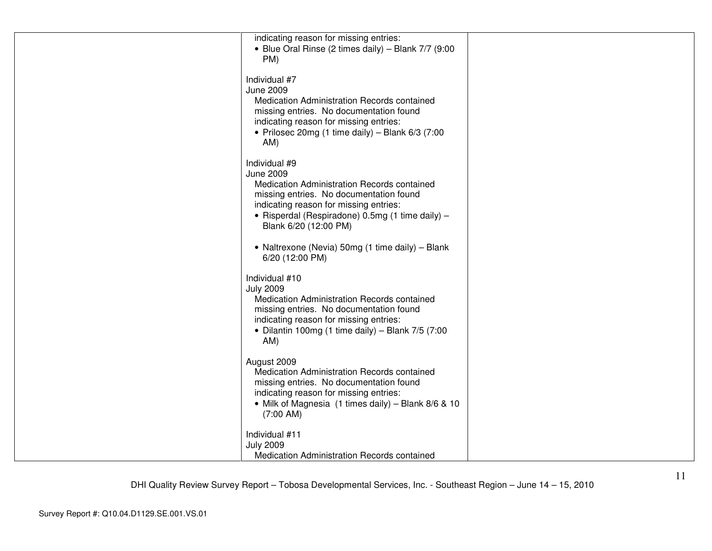| indicating reason for missing entries:<br>• Blue Oral Rinse (2 times daily) - Blank 7/7 (9:00<br>PM)<br>Individual #7<br><b>June 2009</b><br>Medication Administration Records contained<br>missing entries. No documentation found<br>indicating reason for missing entries:<br>• Prilosec 20mg (1 time daily) - Blank $6/3$ (7:00<br>AM)<br>Individual #9<br><b>June 2009</b><br>Medication Administration Records contained<br>missing entries. No documentation found<br>indicating reason for missing entries:<br>· Risperdal (Respiradone) 0.5mg (1 time daily) -<br>Blank 6/20 (12:00 PM)<br>• Naltrexone (Nevia) 50mg (1 time daily) - Blank<br>6/20 (12:00 PM)<br>Individual #10<br><b>July 2009</b><br>Medication Administration Records contained<br>missing entries. No documentation found<br>indicating reason for missing entries:<br>• Dilantin 100mg (1 time daily) – Blank $7/5$ (7:00<br>AM)<br>August 2009<br>Medication Administration Records contained<br>missing entries. No documentation found<br>indicating reason for missing entries:<br>• Milk of Magnesia (1 times daily) - Blank 8/6 & 10<br>$(7:00$ AM)<br>Individual #11<br><b>July 2009</b><br>Medication Administration Records contained |  |  |
|-------------------------------------------------------------------------------------------------------------------------------------------------------------------------------------------------------------------------------------------------------------------------------------------------------------------------------------------------------------------------------------------------------------------------------------------------------------------------------------------------------------------------------------------------------------------------------------------------------------------------------------------------------------------------------------------------------------------------------------------------------------------------------------------------------------------------------------------------------------------------------------------------------------------------------------------------------------------------------------------------------------------------------------------------------------------------------------------------------------------------------------------------------------------------------------------------------------------------------|--|--|
|                                                                                                                                                                                                                                                                                                                                                                                                                                                                                                                                                                                                                                                                                                                                                                                                                                                                                                                                                                                                                                                                                                                                                                                                                               |  |  |
|                                                                                                                                                                                                                                                                                                                                                                                                                                                                                                                                                                                                                                                                                                                                                                                                                                                                                                                                                                                                                                                                                                                                                                                                                               |  |  |
|                                                                                                                                                                                                                                                                                                                                                                                                                                                                                                                                                                                                                                                                                                                                                                                                                                                                                                                                                                                                                                                                                                                                                                                                                               |  |  |
|                                                                                                                                                                                                                                                                                                                                                                                                                                                                                                                                                                                                                                                                                                                                                                                                                                                                                                                                                                                                                                                                                                                                                                                                                               |  |  |
|                                                                                                                                                                                                                                                                                                                                                                                                                                                                                                                                                                                                                                                                                                                                                                                                                                                                                                                                                                                                                                                                                                                                                                                                                               |  |  |
|                                                                                                                                                                                                                                                                                                                                                                                                                                                                                                                                                                                                                                                                                                                                                                                                                                                                                                                                                                                                                                                                                                                                                                                                                               |  |  |
|                                                                                                                                                                                                                                                                                                                                                                                                                                                                                                                                                                                                                                                                                                                                                                                                                                                                                                                                                                                                                                                                                                                                                                                                                               |  |  |
|                                                                                                                                                                                                                                                                                                                                                                                                                                                                                                                                                                                                                                                                                                                                                                                                                                                                                                                                                                                                                                                                                                                                                                                                                               |  |  |
|                                                                                                                                                                                                                                                                                                                                                                                                                                                                                                                                                                                                                                                                                                                                                                                                                                                                                                                                                                                                                                                                                                                                                                                                                               |  |  |
|                                                                                                                                                                                                                                                                                                                                                                                                                                                                                                                                                                                                                                                                                                                                                                                                                                                                                                                                                                                                                                                                                                                                                                                                                               |  |  |
|                                                                                                                                                                                                                                                                                                                                                                                                                                                                                                                                                                                                                                                                                                                                                                                                                                                                                                                                                                                                                                                                                                                                                                                                                               |  |  |
|                                                                                                                                                                                                                                                                                                                                                                                                                                                                                                                                                                                                                                                                                                                                                                                                                                                                                                                                                                                                                                                                                                                                                                                                                               |  |  |
|                                                                                                                                                                                                                                                                                                                                                                                                                                                                                                                                                                                                                                                                                                                                                                                                                                                                                                                                                                                                                                                                                                                                                                                                                               |  |  |
|                                                                                                                                                                                                                                                                                                                                                                                                                                                                                                                                                                                                                                                                                                                                                                                                                                                                                                                                                                                                                                                                                                                                                                                                                               |  |  |
|                                                                                                                                                                                                                                                                                                                                                                                                                                                                                                                                                                                                                                                                                                                                                                                                                                                                                                                                                                                                                                                                                                                                                                                                                               |  |  |
|                                                                                                                                                                                                                                                                                                                                                                                                                                                                                                                                                                                                                                                                                                                                                                                                                                                                                                                                                                                                                                                                                                                                                                                                                               |  |  |
|                                                                                                                                                                                                                                                                                                                                                                                                                                                                                                                                                                                                                                                                                                                                                                                                                                                                                                                                                                                                                                                                                                                                                                                                                               |  |  |
|                                                                                                                                                                                                                                                                                                                                                                                                                                                                                                                                                                                                                                                                                                                                                                                                                                                                                                                                                                                                                                                                                                                                                                                                                               |  |  |
|                                                                                                                                                                                                                                                                                                                                                                                                                                                                                                                                                                                                                                                                                                                                                                                                                                                                                                                                                                                                                                                                                                                                                                                                                               |  |  |
|                                                                                                                                                                                                                                                                                                                                                                                                                                                                                                                                                                                                                                                                                                                                                                                                                                                                                                                                                                                                                                                                                                                                                                                                                               |  |  |
|                                                                                                                                                                                                                                                                                                                                                                                                                                                                                                                                                                                                                                                                                                                                                                                                                                                                                                                                                                                                                                                                                                                                                                                                                               |  |  |
|                                                                                                                                                                                                                                                                                                                                                                                                                                                                                                                                                                                                                                                                                                                                                                                                                                                                                                                                                                                                                                                                                                                                                                                                                               |  |  |
|                                                                                                                                                                                                                                                                                                                                                                                                                                                                                                                                                                                                                                                                                                                                                                                                                                                                                                                                                                                                                                                                                                                                                                                                                               |  |  |
|                                                                                                                                                                                                                                                                                                                                                                                                                                                                                                                                                                                                                                                                                                                                                                                                                                                                                                                                                                                                                                                                                                                                                                                                                               |  |  |
|                                                                                                                                                                                                                                                                                                                                                                                                                                                                                                                                                                                                                                                                                                                                                                                                                                                                                                                                                                                                                                                                                                                                                                                                                               |  |  |
|                                                                                                                                                                                                                                                                                                                                                                                                                                                                                                                                                                                                                                                                                                                                                                                                                                                                                                                                                                                                                                                                                                                                                                                                                               |  |  |
|                                                                                                                                                                                                                                                                                                                                                                                                                                                                                                                                                                                                                                                                                                                                                                                                                                                                                                                                                                                                                                                                                                                                                                                                                               |  |  |
|                                                                                                                                                                                                                                                                                                                                                                                                                                                                                                                                                                                                                                                                                                                                                                                                                                                                                                                                                                                                                                                                                                                                                                                                                               |  |  |
|                                                                                                                                                                                                                                                                                                                                                                                                                                                                                                                                                                                                                                                                                                                                                                                                                                                                                                                                                                                                                                                                                                                                                                                                                               |  |  |
|                                                                                                                                                                                                                                                                                                                                                                                                                                                                                                                                                                                                                                                                                                                                                                                                                                                                                                                                                                                                                                                                                                                                                                                                                               |  |  |
|                                                                                                                                                                                                                                                                                                                                                                                                                                                                                                                                                                                                                                                                                                                                                                                                                                                                                                                                                                                                                                                                                                                                                                                                                               |  |  |
|                                                                                                                                                                                                                                                                                                                                                                                                                                                                                                                                                                                                                                                                                                                                                                                                                                                                                                                                                                                                                                                                                                                                                                                                                               |  |  |
|                                                                                                                                                                                                                                                                                                                                                                                                                                                                                                                                                                                                                                                                                                                                                                                                                                                                                                                                                                                                                                                                                                                                                                                                                               |  |  |
|                                                                                                                                                                                                                                                                                                                                                                                                                                                                                                                                                                                                                                                                                                                                                                                                                                                                                                                                                                                                                                                                                                                                                                                                                               |  |  |
|                                                                                                                                                                                                                                                                                                                                                                                                                                                                                                                                                                                                                                                                                                                                                                                                                                                                                                                                                                                                                                                                                                                                                                                                                               |  |  |
|                                                                                                                                                                                                                                                                                                                                                                                                                                                                                                                                                                                                                                                                                                                                                                                                                                                                                                                                                                                                                                                                                                                                                                                                                               |  |  |
|                                                                                                                                                                                                                                                                                                                                                                                                                                                                                                                                                                                                                                                                                                                                                                                                                                                                                                                                                                                                                                                                                                                                                                                                                               |  |  |
|                                                                                                                                                                                                                                                                                                                                                                                                                                                                                                                                                                                                                                                                                                                                                                                                                                                                                                                                                                                                                                                                                                                                                                                                                               |  |  |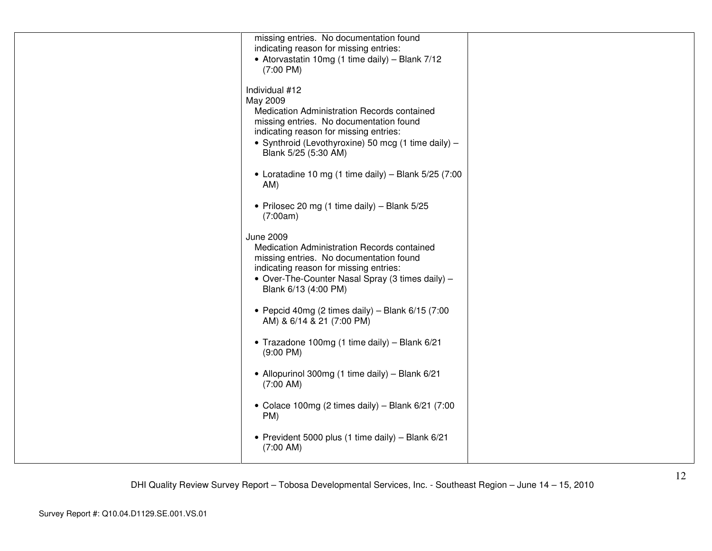| missing entries. No documentation found                |  |
|--------------------------------------------------------|--|
| indicating reason for missing entries:                 |  |
| • Atorvastatin 10mg (1 time daily) - Blank 7/12        |  |
| $(7:00 \text{ PM})$                                    |  |
|                                                        |  |
| Individual #12                                         |  |
| May 2009                                               |  |
| Medication Administration Records contained            |  |
| missing entries. No documentation found                |  |
| indicating reason for missing entries:                 |  |
| • Synthroid (Levothyroxine) 50 mcg (1 time daily) -    |  |
| Blank 5/25 (5:30 AM)                                   |  |
|                                                        |  |
| • Loratadine 10 mg (1 time daily) – Blank $5/25$ (7:00 |  |
|                                                        |  |
| AM)                                                    |  |
|                                                        |  |
| • Prilosec 20 mg (1 time daily) - Blank 5/25           |  |
| (7:00am)                                               |  |
|                                                        |  |
| <b>June 2009</b>                                       |  |
| Medication Administration Records contained            |  |
| missing entries. No documentation found                |  |
| indicating reason for missing entries:                 |  |
| • Over-The-Counter Nasal Spray (3 times daily) -       |  |
| Blank 6/13 (4:00 PM)                                   |  |
|                                                        |  |
| • Pepcid 40mg (2 times daily) - Blank $6/15$ (7:00     |  |
| AM) & 6/14 & 21 (7:00 PM)                              |  |
|                                                        |  |
| • Trazadone 100mg (1 time daily) - Blank 6/21          |  |
| $(9:00 \text{ PM})$                                    |  |
|                                                        |  |
| • Allopurinol 300mg (1 time daily) - Blank 6/21        |  |
| $(7:00$ AM)                                            |  |
|                                                        |  |
| • Colace 100mg (2 times daily) – Blank $6/21$ (7:00    |  |
| PM)                                                    |  |
|                                                        |  |
| • Prevident 5000 plus (1 time daily) - Blank 6/21      |  |
| $(7:00$ AM)                                            |  |
|                                                        |  |
|                                                        |  |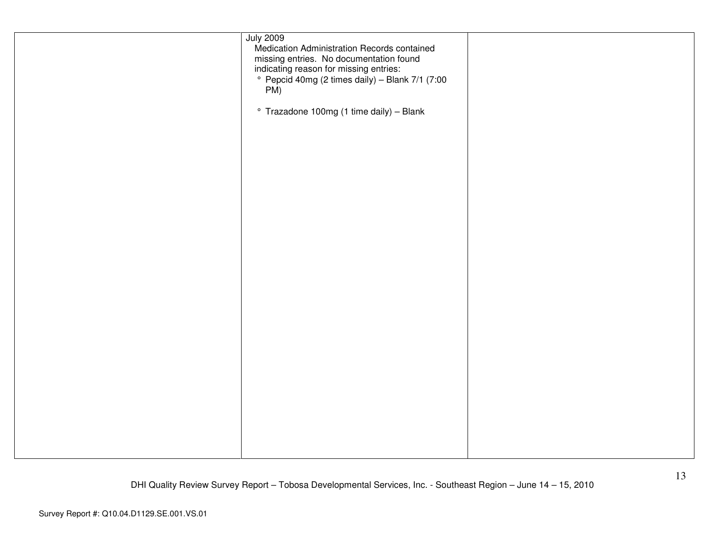| <b>July 2009</b><br>Medication Administration Records contained<br>missing entries. No documentation found<br>indicating reason for missing entries:<br>° Pepcid 40mg (2 times daily) – Blank 7/1 (7:00<br>PM)<br>° Trazadone 100mg (1 time daily) - Blank |  |
|------------------------------------------------------------------------------------------------------------------------------------------------------------------------------------------------------------------------------------------------------------|--|
|                                                                                                                                                                                                                                                            |  |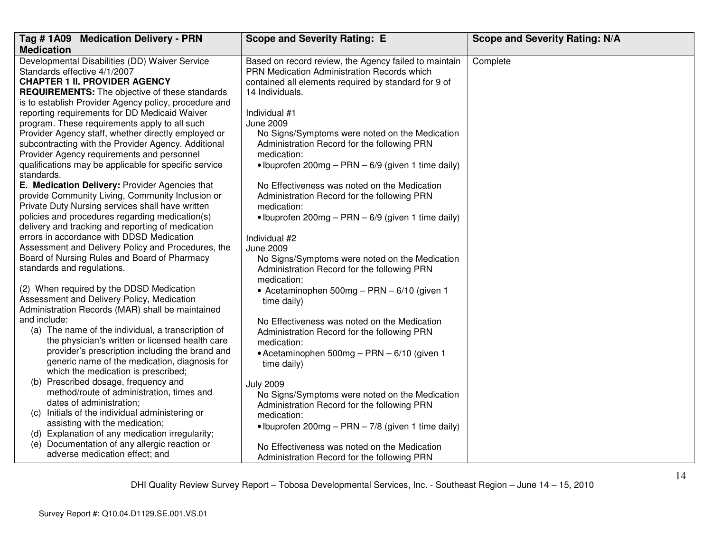| Tag #1A09 Medication Delivery - PRN                                                              | <b>Scope and Severity Rating: E</b>                        | <b>Scope and Severity Rating: N/A</b> |
|--------------------------------------------------------------------------------------------------|------------------------------------------------------------|---------------------------------------|
| <b>Medication</b>                                                                                |                                                            |                                       |
| Developmental Disabilities (DD) Waiver Service                                                   | Based on record review, the Agency failed to maintain      | Complete                              |
| Standards effective 4/1/2007                                                                     | PRN Medication Administration Records which                |                                       |
| <b>CHAPTER 1 II. PROVIDER AGENCY</b>                                                             | contained all elements required by standard for 9 of       |                                       |
| <b>REQUIREMENTS:</b> The objective of these standards                                            | 14 Individuals.                                            |                                       |
| is to establish Provider Agency policy, procedure and                                            |                                                            |                                       |
| reporting requirements for DD Medicaid Waiver                                                    | Individual #1                                              |                                       |
| program. These requirements apply to all such                                                    | <b>June 2009</b>                                           |                                       |
| Provider Agency staff, whether directly employed or                                              | No Signs/Symptoms were noted on the Medication             |                                       |
| subcontracting with the Provider Agency. Additional                                              | Administration Record for the following PRN                |                                       |
| Provider Agency requirements and personnel                                                       | medication:                                                |                                       |
| qualifications may be applicable for specific service<br>standards.                              | • Ibuprofen 200mg – PRN – $6/9$ (given 1 time daily)       |                                       |
| E. Medication Delivery: Provider Agencies that                                                   | No Effectiveness was noted on the Medication               |                                       |
| provide Community Living, Community Inclusion or                                                 | Administration Record for the following PRN                |                                       |
| Private Duty Nursing services shall have written                                                 | medication:                                                |                                       |
| policies and procedures regarding medication(s)                                                  | • Ibuprofen 200mg - PRN - 6/9 (given 1 time daily)         |                                       |
| delivery and tracking and reporting of medication                                                |                                                            |                                       |
| errors in accordance with DDSD Medication                                                        | Individual #2                                              |                                       |
| Assessment and Delivery Policy and Procedures, the                                               | <b>June 2009</b>                                           |                                       |
| Board of Nursing Rules and Board of Pharmacy                                                     | No Signs/Symptoms were noted on the Medication             |                                       |
| standards and regulations.                                                                       | Administration Record for the following PRN                |                                       |
|                                                                                                  | medication:                                                |                                       |
| (2) When required by the DDSD Medication                                                         | • Acetaminophen 500mg - PRN - 6/10 (given 1                |                                       |
| Assessment and Delivery Policy, Medication                                                       | time daily)                                                |                                       |
| Administration Records (MAR) shall be maintained                                                 |                                                            |                                       |
| and include:                                                                                     | No Effectiveness was noted on the Medication               |                                       |
| (a) The name of the individual, a transcription of                                               | Administration Record for the following PRN                |                                       |
| the physician's written or licensed health care                                                  | medication:                                                |                                       |
| provider's prescription including the brand and<br>generic name of the medication, diagnosis for | • Acetaminophen 500mg - PRN - 6/10 (given 1                |                                       |
| which the medication is prescribed;                                                              | time daily)                                                |                                       |
| (b) Prescribed dosage, frequency and                                                             |                                                            |                                       |
| method/route of administration, times and                                                        | <b>July 2009</b>                                           |                                       |
| dates of administration;                                                                         | No Signs/Symptoms were noted on the Medication             |                                       |
| Initials of the individual administering or<br>(C)                                               | Administration Record for the following PRN<br>medication: |                                       |
| assisting with the medication;                                                                   | • Ibuprofen 200mg – PRN – 7/8 (given 1 time daily)         |                                       |
| (d) Explanation of any medication irregularity;                                                  |                                                            |                                       |
| Documentation of any allergic reaction or<br>(e)                                                 | No Effectiveness was noted on the Medication               |                                       |
| adverse medication effect; and                                                                   | Administration Record for the following PRN                |                                       |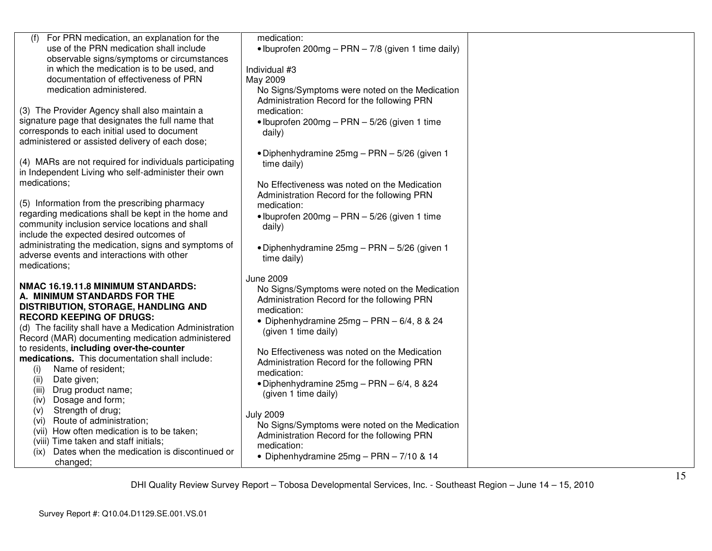| (f) For PRN medication, an explanation for the                                             | medication:                                        |  |
|--------------------------------------------------------------------------------------------|----------------------------------------------------|--|
| use of the PRN medication shall include                                                    | • Ibuprofen 200mg - PRN - 7/8 (given 1 time daily) |  |
| observable signs/symptoms or circumstances                                                 |                                                    |  |
| in which the medication is to be used, and                                                 | Individual #3                                      |  |
| documentation of effectiveness of PRN                                                      | May 2009                                           |  |
| medication administered.                                                                   | No Signs/Symptoms were noted on the Medication     |  |
|                                                                                            | Administration Record for the following PRN        |  |
| (3) The Provider Agency shall also maintain a                                              | medication:                                        |  |
| signature page that designates the full name that                                          | · Ibuprofen 200mg - PRN - 5/26 (given 1 time       |  |
| corresponds to each initial used to document                                               | daily)                                             |  |
| administered or assisted delivery of each dose;                                            |                                                    |  |
|                                                                                            | • Diphenhydramine 25mg – PRN – 5/26 (given 1       |  |
| (4) MARs are not required for individuals participating                                    | time daily)                                        |  |
| in Independent Living who self-administer their own                                        |                                                    |  |
| medications;                                                                               | No Effectiveness was noted on the Medication       |  |
|                                                                                            | Administration Record for the following PRN        |  |
| (5) Information from the prescribing pharmacy                                              | medication:                                        |  |
| regarding medications shall be kept in the home and                                        | • Ibuprofen 200mg - PRN - 5/26 (given 1 time       |  |
| community inclusion service locations and shall                                            | daily)                                             |  |
| include the expected desired outcomes of                                                   |                                                    |  |
| administrating the medication, signs and symptoms of                                       | • Diphenhydramine 25mg - PRN - 5/26 (given 1       |  |
| adverse events and interactions with other                                                 | time daily)                                        |  |
| medications;                                                                               |                                                    |  |
|                                                                                            | <b>June 2009</b>                                   |  |
| NMAC 16.19.11.8 MINIMUM STANDARDS:                                                         | No Signs/Symptoms were noted on the Medication     |  |
| A. MINIMUM STANDARDS FOR THE                                                               | Administration Record for the following PRN        |  |
| DISTRIBUTION, STORAGE, HANDLING AND<br><b>RECORD KEEPING OF DRUGS:</b>                     | medication:                                        |  |
| (d) The facility shall have a Medication Administration                                    | • Diphenhydramine $25mg - PRN - 6/4$ , 8 & 24      |  |
|                                                                                            | (given 1 time daily)                               |  |
| Record (MAR) documenting medication administered                                           |                                                    |  |
| to residents, including over-the-counter<br>medications. This documentation shall include: | No Effectiveness was noted on the Medication       |  |
| Name of resident;                                                                          | Administration Record for the following PRN        |  |
| (i)<br>Date given;                                                                         | medication:                                        |  |
| (ii)<br>(iii)<br>Drug product name;                                                        | • Diphenhydramine $25mg - PRN - 6/4$ , 8 & 24      |  |
| Dosage and form;<br>(iv)                                                                   | (given 1 time daily)                               |  |
| Strength of drug;<br>(v)                                                                   |                                                    |  |
| Route of administration;<br>(vi)                                                           | <b>July 2009</b>                                   |  |
| (vii) How often medication is to be taken;                                                 | No Signs/Symptoms were noted on the Medication     |  |
| (viii) Time taken and staff initials;                                                      | Administration Record for the following PRN        |  |
| Dates when the medication is discontinued or<br>(ix)                                       | medication:                                        |  |
| changed;                                                                                   | • Diphenhydramine 25mg - PRN - 7/10 & 14           |  |
|                                                                                            |                                                    |  |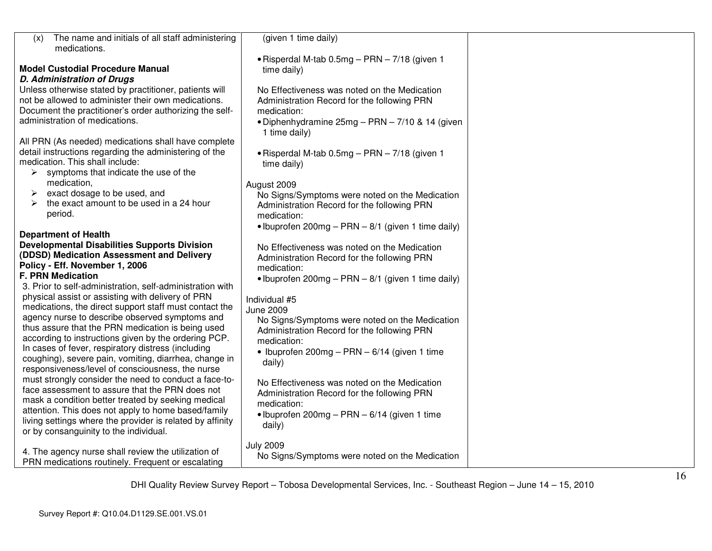| The name and initials of all staff administering<br>(x)                                                  | (given 1 time daily)                                 |  |
|----------------------------------------------------------------------------------------------------------|------------------------------------------------------|--|
| medications.                                                                                             | • Risperdal M-tab 0.5mg - PRN - 7/18 (given 1        |  |
| <b>Model Custodial Procedure Manual</b>                                                                  | time daily)                                          |  |
| <b>D. Administration of Drugs</b>                                                                        |                                                      |  |
| Unless otherwise stated by practitioner, patients will                                                   | No Effectiveness was noted on the Medication         |  |
| not be allowed to administer their own medications.                                                      | Administration Record for the following PRN          |  |
| Document the practitioner's order authorizing the self-                                                  | medication:                                          |  |
| administration of medications.                                                                           | • Diphenhydramine 25mg - PRN - 7/10 & 14 (given      |  |
|                                                                                                          | 1 time daily)                                        |  |
| All PRN (As needed) medications shall have complete                                                      |                                                      |  |
| detail instructions regarding the administering of the                                                   | • Risperdal M-tab $0.5mg - PRN - 7/18$ (given 1      |  |
| medication. This shall include:                                                                          | time daily)                                          |  |
| symptoms that indicate the use of the<br>➤                                                               |                                                      |  |
| medication,                                                                                              | August 2009                                          |  |
| exact dosage to be used, and                                                                             | No Signs/Symptoms were noted on the Medication       |  |
| the exact amount to be used in a 24 hour<br>➤                                                            | Administration Record for the following PRN          |  |
| period.                                                                                                  | medication:                                          |  |
|                                                                                                          | • Ibuprofen 200mg – PRN – $8/1$ (given 1 time daily) |  |
| <b>Department of Health</b><br><b>Developmental Disabilities Supports Division</b>                       |                                                      |  |
| (DDSD) Medication Assessment and Delivery                                                                | No Effectiveness was noted on the Medication         |  |
| Policy - Eff. November 1, 2006                                                                           | Administration Record for the following PRN          |  |
| <b>F. PRN Medication</b>                                                                                 | medication:                                          |  |
| 3. Prior to self-administration, self-administration with                                                | • Ibuprofen 200mg – PRN – $8/1$ (given 1 time daily) |  |
| physical assist or assisting with delivery of PRN                                                        |                                                      |  |
| medications, the direct support staff must contact the                                                   | Individual #5<br><b>June 2009</b>                    |  |
| agency nurse to describe observed symptoms and                                                           | No Signs/Symptoms were noted on the Medication       |  |
| thus assure that the PRN medication is being used                                                        | Administration Record for the following PRN          |  |
| according to instructions given by the ordering PCP.                                                     | medication:                                          |  |
| In cases of fever, respiratory distress (including                                                       | • Ibuprofen 200mg - PRN - $6/14$ (given 1 time       |  |
| coughing), severe pain, vomiting, diarrhea, change in                                                    | daily)                                               |  |
| responsiveness/level of consciousness, the nurse                                                         |                                                      |  |
| must strongly consider the need to conduct a face-to-                                                    | No Effectiveness was noted on the Medication         |  |
| face assessment to assure that the PRN does not                                                          | Administration Record for the following PRN          |  |
| mask a condition better treated by seeking medical                                                       | medication:                                          |  |
| attention. This does not apply to home based/family                                                      | • Ibuprofen 200mg – PRN – $6/14$ (given 1 time       |  |
| living settings where the provider is related by affinity                                                | daily)                                               |  |
| or by consanguinity to the individual.                                                                   |                                                      |  |
|                                                                                                          | <b>July 2009</b>                                     |  |
| 4. The agency nurse shall review the utilization of<br>PRN medications routinely. Frequent or escalating | No Signs/Symptoms were noted on the Medication       |  |
|                                                                                                          |                                                      |  |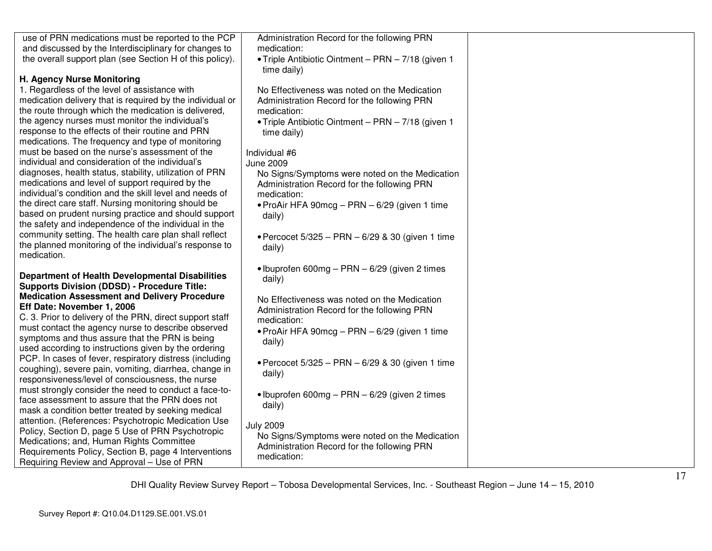| use of PRN medications must be reported to the PCP<br>and discussed by the Interdisciplinary for changes to<br>medication:<br>the overall support plan (see Section H of this policy).<br>• Triple Antibiotic Ointment - PRN - 7/18 (given 1<br>time daily)<br>H. Agency Nurse Monitoring<br>1. Regardless of the level of assistance with<br>No Effectiveness was noted on the Medication<br>medication delivery that is required by the individual or<br>Administration Record for the following PRN<br>the route through which the medication is delivered,<br>medication:<br>the agency nurses must monitor the individual's<br>. Triple Antibiotic Ointment - PRN - 7/18 (given 1<br>response to the effects of their routine and PRN<br>time daily)<br>medications. The frequency and type of monitoring<br>must be based on the nurse's assessment of the<br>Individual #6<br>individual and consideration of the individual's<br><b>June 2009</b><br>diagnoses, health status, stability, utilization of PRN<br>No Signs/Symptoms were noted on the Medication<br>medications and level of support required by the<br>Administration Record for the following PRN<br>individual's condition and the skill level and needs of<br>medication:<br>the direct care staff. Nursing monitoring should be<br>• ProAir HFA $90 \text{mcg} - \text{PRN} - 6/29$ (given 1 time<br>based on prudent nursing practice and should support<br>daily)<br>the safety and independence of the individual in the<br>community setting. The health care plan shall reflect<br>• Percocet $5/325$ – PRN – $6/29$ & 30 (given 1 time<br>the planned monitoring of the individual's response to<br>daily)<br>medication.<br>· Ibuprofen 600mg - PRN - 6/29 (given 2 times<br><b>Department of Health Developmental Disabilities</b><br>daily)<br><b>Supports Division (DDSD) - Procedure Title:</b><br><b>Medication Assessment and Delivery Procedure</b><br>No Effectiveness was noted on the Medication<br>Eff Date: November 1, 2006<br>Administration Record for the following PRN<br>C. 3. Prior to delivery of the PRN, direct support staff<br>medication:<br>must contact the agency nurse to describe observed<br>• ProAir HFA $90 \text{mcg} - \text{PRN} - 6/29$ (given 1 time<br>symptoms and thus assure that the PRN is being<br>daily)<br>used according to instructions given by the ordering<br>PCP. In cases of fever, respiratory distress (including<br>• Percocet $5/325$ – PRN – $6/29$ & 30 (given 1 time<br>coughing), severe pain, vomiting, diarrhea, change in<br>daily)<br>responsiveness/level of consciousness, the nurse<br>must strongly consider the need to conduct a face-to-<br>· Ibuprofen 600mg - PRN - 6/29 (given 2 times<br>face assessment to assure that the PRN does not<br>daily)<br>mask a condition better treated by seeking medical<br>attention. (References: Psychotropic Medication Use<br><b>July 2009</b><br>Policy, Section D, page 5 Use of PRN Psychotropic<br>No Signs/Symptoms were noted on the Medication<br>Medications; and, Human Rights Committee<br>Administration Record for the following PRN<br>Requirements Policy, Section B, page 4 Interventions<br>medication:<br>Requiring Review and Approval - Use of PRN |                                             |  |
|---------------------------------------------------------------------------------------------------------------------------------------------------------------------------------------------------------------------------------------------------------------------------------------------------------------------------------------------------------------------------------------------------------------------------------------------------------------------------------------------------------------------------------------------------------------------------------------------------------------------------------------------------------------------------------------------------------------------------------------------------------------------------------------------------------------------------------------------------------------------------------------------------------------------------------------------------------------------------------------------------------------------------------------------------------------------------------------------------------------------------------------------------------------------------------------------------------------------------------------------------------------------------------------------------------------------------------------------------------------------------------------------------------------------------------------------------------------------------------------------------------------------------------------------------------------------------------------------------------------------------------------------------------------------------------------------------------------------------------------------------------------------------------------------------------------------------------------------------------------------------------------------------------------------------------------------------------------------------------------------------------------------------------------------------------------------------------------------------------------------------------------------------------------------------------------------------------------------------------------------------------------------------------------------------------------------------------------------------------------------------------------------------------------------------------------------------------------------------------------------------------------------------------------------------------------------------------------------------------------------------------------------------------------------------------------------------------------------------------------------------------------------------------------------------------------------------------------------------------------------------------------------------------------------------------------------------------------------------------------------------------------------------------------------------------------------------------------------------------------------------------------------------------------------------------------------------------------------------------------------------------------------------|---------------------------------------------|--|
|                                                                                                                                                                                                                                                                                                                                                                                                                                                                                                                                                                                                                                                                                                                                                                                                                                                                                                                                                                                                                                                                                                                                                                                                                                                                                                                                                                                                                                                                                                                                                                                                                                                                                                                                                                                                                                                                                                                                                                                                                                                                                                                                                                                                                                                                                                                                                                                                                                                                                                                                                                                                                                                                                                                                                                                                                                                                                                                                                                                                                                                                                                                                                                                                                                                                           | Administration Record for the following PRN |  |
|                                                                                                                                                                                                                                                                                                                                                                                                                                                                                                                                                                                                                                                                                                                                                                                                                                                                                                                                                                                                                                                                                                                                                                                                                                                                                                                                                                                                                                                                                                                                                                                                                                                                                                                                                                                                                                                                                                                                                                                                                                                                                                                                                                                                                                                                                                                                                                                                                                                                                                                                                                                                                                                                                                                                                                                                                                                                                                                                                                                                                                                                                                                                                                                                                                                                           |                                             |  |
|                                                                                                                                                                                                                                                                                                                                                                                                                                                                                                                                                                                                                                                                                                                                                                                                                                                                                                                                                                                                                                                                                                                                                                                                                                                                                                                                                                                                                                                                                                                                                                                                                                                                                                                                                                                                                                                                                                                                                                                                                                                                                                                                                                                                                                                                                                                                                                                                                                                                                                                                                                                                                                                                                                                                                                                                                                                                                                                                                                                                                                                                                                                                                                                                                                                                           |                                             |  |
|                                                                                                                                                                                                                                                                                                                                                                                                                                                                                                                                                                                                                                                                                                                                                                                                                                                                                                                                                                                                                                                                                                                                                                                                                                                                                                                                                                                                                                                                                                                                                                                                                                                                                                                                                                                                                                                                                                                                                                                                                                                                                                                                                                                                                                                                                                                                                                                                                                                                                                                                                                                                                                                                                                                                                                                                                                                                                                                                                                                                                                                                                                                                                                                                                                                                           |                                             |  |
|                                                                                                                                                                                                                                                                                                                                                                                                                                                                                                                                                                                                                                                                                                                                                                                                                                                                                                                                                                                                                                                                                                                                                                                                                                                                                                                                                                                                                                                                                                                                                                                                                                                                                                                                                                                                                                                                                                                                                                                                                                                                                                                                                                                                                                                                                                                                                                                                                                                                                                                                                                                                                                                                                                                                                                                                                                                                                                                                                                                                                                                                                                                                                                                                                                                                           |                                             |  |
|                                                                                                                                                                                                                                                                                                                                                                                                                                                                                                                                                                                                                                                                                                                                                                                                                                                                                                                                                                                                                                                                                                                                                                                                                                                                                                                                                                                                                                                                                                                                                                                                                                                                                                                                                                                                                                                                                                                                                                                                                                                                                                                                                                                                                                                                                                                                                                                                                                                                                                                                                                                                                                                                                                                                                                                                                                                                                                                                                                                                                                                                                                                                                                                                                                                                           |                                             |  |
|                                                                                                                                                                                                                                                                                                                                                                                                                                                                                                                                                                                                                                                                                                                                                                                                                                                                                                                                                                                                                                                                                                                                                                                                                                                                                                                                                                                                                                                                                                                                                                                                                                                                                                                                                                                                                                                                                                                                                                                                                                                                                                                                                                                                                                                                                                                                                                                                                                                                                                                                                                                                                                                                                                                                                                                                                                                                                                                                                                                                                                                                                                                                                                                                                                                                           |                                             |  |
|                                                                                                                                                                                                                                                                                                                                                                                                                                                                                                                                                                                                                                                                                                                                                                                                                                                                                                                                                                                                                                                                                                                                                                                                                                                                                                                                                                                                                                                                                                                                                                                                                                                                                                                                                                                                                                                                                                                                                                                                                                                                                                                                                                                                                                                                                                                                                                                                                                                                                                                                                                                                                                                                                                                                                                                                                                                                                                                                                                                                                                                                                                                                                                                                                                                                           |                                             |  |
|                                                                                                                                                                                                                                                                                                                                                                                                                                                                                                                                                                                                                                                                                                                                                                                                                                                                                                                                                                                                                                                                                                                                                                                                                                                                                                                                                                                                                                                                                                                                                                                                                                                                                                                                                                                                                                                                                                                                                                                                                                                                                                                                                                                                                                                                                                                                                                                                                                                                                                                                                                                                                                                                                                                                                                                                                                                                                                                                                                                                                                                                                                                                                                                                                                                                           |                                             |  |
|                                                                                                                                                                                                                                                                                                                                                                                                                                                                                                                                                                                                                                                                                                                                                                                                                                                                                                                                                                                                                                                                                                                                                                                                                                                                                                                                                                                                                                                                                                                                                                                                                                                                                                                                                                                                                                                                                                                                                                                                                                                                                                                                                                                                                                                                                                                                                                                                                                                                                                                                                                                                                                                                                                                                                                                                                                                                                                                                                                                                                                                                                                                                                                                                                                                                           |                                             |  |
|                                                                                                                                                                                                                                                                                                                                                                                                                                                                                                                                                                                                                                                                                                                                                                                                                                                                                                                                                                                                                                                                                                                                                                                                                                                                                                                                                                                                                                                                                                                                                                                                                                                                                                                                                                                                                                                                                                                                                                                                                                                                                                                                                                                                                                                                                                                                                                                                                                                                                                                                                                                                                                                                                                                                                                                                                                                                                                                                                                                                                                                                                                                                                                                                                                                                           |                                             |  |
|                                                                                                                                                                                                                                                                                                                                                                                                                                                                                                                                                                                                                                                                                                                                                                                                                                                                                                                                                                                                                                                                                                                                                                                                                                                                                                                                                                                                                                                                                                                                                                                                                                                                                                                                                                                                                                                                                                                                                                                                                                                                                                                                                                                                                                                                                                                                                                                                                                                                                                                                                                                                                                                                                                                                                                                                                                                                                                                                                                                                                                                                                                                                                                                                                                                                           |                                             |  |
|                                                                                                                                                                                                                                                                                                                                                                                                                                                                                                                                                                                                                                                                                                                                                                                                                                                                                                                                                                                                                                                                                                                                                                                                                                                                                                                                                                                                                                                                                                                                                                                                                                                                                                                                                                                                                                                                                                                                                                                                                                                                                                                                                                                                                                                                                                                                                                                                                                                                                                                                                                                                                                                                                                                                                                                                                                                                                                                                                                                                                                                                                                                                                                                                                                                                           |                                             |  |
|                                                                                                                                                                                                                                                                                                                                                                                                                                                                                                                                                                                                                                                                                                                                                                                                                                                                                                                                                                                                                                                                                                                                                                                                                                                                                                                                                                                                                                                                                                                                                                                                                                                                                                                                                                                                                                                                                                                                                                                                                                                                                                                                                                                                                                                                                                                                                                                                                                                                                                                                                                                                                                                                                                                                                                                                                                                                                                                                                                                                                                                                                                                                                                                                                                                                           |                                             |  |
|                                                                                                                                                                                                                                                                                                                                                                                                                                                                                                                                                                                                                                                                                                                                                                                                                                                                                                                                                                                                                                                                                                                                                                                                                                                                                                                                                                                                                                                                                                                                                                                                                                                                                                                                                                                                                                                                                                                                                                                                                                                                                                                                                                                                                                                                                                                                                                                                                                                                                                                                                                                                                                                                                                                                                                                                                                                                                                                                                                                                                                                                                                                                                                                                                                                                           |                                             |  |
|                                                                                                                                                                                                                                                                                                                                                                                                                                                                                                                                                                                                                                                                                                                                                                                                                                                                                                                                                                                                                                                                                                                                                                                                                                                                                                                                                                                                                                                                                                                                                                                                                                                                                                                                                                                                                                                                                                                                                                                                                                                                                                                                                                                                                                                                                                                                                                                                                                                                                                                                                                                                                                                                                                                                                                                                                                                                                                                                                                                                                                                                                                                                                                                                                                                                           |                                             |  |
|                                                                                                                                                                                                                                                                                                                                                                                                                                                                                                                                                                                                                                                                                                                                                                                                                                                                                                                                                                                                                                                                                                                                                                                                                                                                                                                                                                                                                                                                                                                                                                                                                                                                                                                                                                                                                                                                                                                                                                                                                                                                                                                                                                                                                                                                                                                                                                                                                                                                                                                                                                                                                                                                                                                                                                                                                                                                                                                                                                                                                                                                                                                                                                                                                                                                           |                                             |  |
|                                                                                                                                                                                                                                                                                                                                                                                                                                                                                                                                                                                                                                                                                                                                                                                                                                                                                                                                                                                                                                                                                                                                                                                                                                                                                                                                                                                                                                                                                                                                                                                                                                                                                                                                                                                                                                                                                                                                                                                                                                                                                                                                                                                                                                                                                                                                                                                                                                                                                                                                                                                                                                                                                                                                                                                                                                                                                                                                                                                                                                                                                                                                                                                                                                                                           |                                             |  |
|                                                                                                                                                                                                                                                                                                                                                                                                                                                                                                                                                                                                                                                                                                                                                                                                                                                                                                                                                                                                                                                                                                                                                                                                                                                                                                                                                                                                                                                                                                                                                                                                                                                                                                                                                                                                                                                                                                                                                                                                                                                                                                                                                                                                                                                                                                                                                                                                                                                                                                                                                                                                                                                                                                                                                                                                                                                                                                                                                                                                                                                                                                                                                                                                                                                                           |                                             |  |
|                                                                                                                                                                                                                                                                                                                                                                                                                                                                                                                                                                                                                                                                                                                                                                                                                                                                                                                                                                                                                                                                                                                                                                                                                                                                                                                                                                                                                                                                                                                                                                                                                                                                                                                                                                                                                                                                                                                                                                                                                                                                                                                                                                                                                                                                                                                                                                                                                                                                                                                                                                                                                                                                                                                                                                                                                                                                                                                                                                                                                                                                                                                                                                                                                                                                           |                                             |  |
|                                                                                                                                                                                                                                                                                                                                                                                                                                                                                                                                                                                                                                                                                                                                                                                                                                                                                                                                                                                                                                                                                                                                                                                                                                                                                                                                                                                                                                                                                                                                                                                                                                                                                                                                                                                                                                                                                                                                                                                                                                                                                                                                                                                                                                                                                                                                                                                                                                                                                                                                                                                                                                                                                                                                                                                                                                                                                                                                                                                                                                                                                                                                                                                                                                                                           |                                             |  |
|                                                                                                                                                                                                                                                                                                                                                                                                                                                                                                                                                                                                                                                                                                                                                                                                                                                                                                                                                                                                                                                                                                                                                                                                                                                                                                                                                                                                                                                                                                                                                                                                                                                                                                                                                                                                                                                                                                                                                                                                                                                                                                                                                                                                                                                                                                                                                                                                                                                                                                                                                                                                                                                                                                                                                                                                                                                                                                                                                                                                                                                                                                                                                                                                                                                                           |                                             |  |
|                                                                                                                                                                                                                                                                                                                                                                                                                                                                                                                                                                                                                                                                                                                                                                                                                                                                                                                                                                                                                                                                                                                                                                                                                                                                                                                                                                                                                                                                                                                                                                                                                                                                                                                                                                                                                                                                                                                                                                                                                                                                                                                                                                                                                                                                                                                                                                                                                                                                                                                                                                                                                                                                                                                                                                                                                                                                                                                                                                                                                                                                                                                                                                                                                                                                           |                                             |  |
|                                                                                                                                                                                                                                                                                                                                                                                                                                                                                                                                                                                                                                                                                                                                                                                                                                                                                                                                                                                                                                                                                                                                                                                                                                                                                                                                                                                                                                                                                                                                                                                                                                                                                                                                                                                                                                                                                                                                                                                                                                                                                                                                                                                                                                                                                                                                                                                                                                                                                                                                                                                                                                                                                                                                                                                                                                                                                                                                                                                                                                                                                                                                                                                                                                                                           |                                             |  |
|                                                                                                                                                                                                                                                                                                                                                                                                                                                                                                                                                                                                                                                                                                                                                                                                                                                                                                                                                                                                                                                                                                                                                                                                                                                                                                                                                                                                                                                                                                                                                                                                                                                                                                                                                                                                                                                                                                                                                                                                                                                                                                                                                                                                                                                                                                                                                                                                                                                                                                                                                                                                                                                                                                                                                                                                                                                                                                                                                                                                                                                                                                                                                                                                                                                                           |                                             |  |
|                                                                                                                                                                                                                                                                                                                                                                                                                                                                                                                                                                                                                                                                                                                                                                                                                                                                                                                                                                                                                                                                                                                                                                                                                                                                                                                                                                                                                                                                                                                                                                                                                                                                                                                                                                                                                                                                                                                                                                                                                                                                                                                                                                                                                                                                                                                                                                                                                                                                                                                                                                                                                                                                                                                                                                                                                                                                                                                                                                                                                                                                                                                                                                                                                                                                           |                                             |  |
|                                                                                                                                                                                                                                                                                                                                                                                                                                                                                                                                                                                                                                                                                                                                                                                                                                                                                                                                                                                                                                                                                                                                                                                                                                                                                                                                                                                                                                                                                                                                                                                                                                                                                                                                                                                                                                                                                                                                                                                                                                                                                                                                                                                                                                                                                                                                                                                                                                                                                                                                                                                                                                                                                                                                                                                                                                                                                                                                                                                                                                                                                                                                                                                                                                                                           |                                             |  |
|                                                                                                                                                                                                                                                                                                                                                                                                                                                                                                                                                                                                                                                                                                                                                                                                                                                                                                                                                                                                                                                                                                                                                                                                                                                                                                                                                                                                                                                                                                                                                                                                                                                                                                                                                                                                                                                                                                                                                                                                                                                                                                                                                                                                                                                                                                                                                                                                                                                                                                                                                                                                                                                                                                                                                                                                                                                                                                                                                                                                                                                                                                                                                                                                                                                                           |                                             |  |
|                                                                                                                                                                                                                                                                                                                                                                                                                                                                                                                                                                                                                                                                                                                                                                                                                                                                                                                                                                                                                                                                                                                                                                                                                                                                                                                                                                                                                                                                                                                                                                                                                                                                                                                                                                                                                                                                                                                                                                                                                                                                                                                                                                                                                                                                                                                                                                                                                                                                                                                                                                                                                                                                                                                                                                                                                                                                                                                                                                                                                                                                                                                                                                                                                                                                           |                                             |  |
|                                                                                                                                                                                                                                                                                                                                                                                                                                                                                                                                                                                                                                                                                                                                                                                                                                                                                                                                                                                                                                                                                                                                                                                                                                                                                                                                                                                                                                                                                                                                                                                                                                                                                                                                                                                                                                                                                                                                                                                                                                                                                                                                                                                                                                                                                                                                                                                                                                                                                                                                                                                                                                                                                                                                                                                                                                                                                                                                                                                                                                                                                                                                                                                                                                                                           |                                             |  |
|                                                                                                                                                                                                                                                                                                                                                                                                                                                                                                                                                                                                                                                                                                                                                                                                                                                                                                                                                                                                                                                                                                                                                                                                                                                                                                                                                                                                                                                                                                                                                                                                                                                                                                                                                                                                                                                                                                                                                                                                                                                                                                                                                                                                                                                                                                                                                                                                                                                                                                                                                                                                                                                                                                                                                                                                                                                                                                                                                                                                                                                                                                                                                                                                                                                                           |                                             |  |
|                                                                                                                                                                                                                                                                                                                                                                                                                                                                                                                                                                                                                                                                                                                                                                                                                                                                                                                                                                                                                                                                                                                                                                                                                                                                                                                                                                                                                                                                                                                                                                                                                                                                                                                                                                                                                                                                                                                                                                                                                                                                                                                                                                                                                                                                                                                                                                                                                                                                                                                                                                                                                                                                                                                                                                                                                                                                                                                                                                                                                                                                                                                                                                                                                                                                           |                                             |  |
|                                                                                                                                                                                                                                                                                                                                                                                                                                                                                                                                                                                                                                                                                                                                                                                                                                                                                                                                                                                                                                                                                                                                                                                                                                                                                                                                                                                                                                                                                                                                                                                                                                                                                                                                                                                                                                                                                                                                                                                                                                                                                                                                                                                                                                                                                                                                                                                                                                                                                                                                                                                                                                                                                                                                                                                                                                                                                                                                                                                                                                                                                                                                                                                                                                                                           |                                             |  |
|                                                                                                                                                                                                                                                                                                                                                                                                                                                                                                                                                                                                                                                                                                                                                                                                                                                                                                                                                                                                                                                                                                                                                                                                                                                                                                                                                                                                                                                                                                                                                                                                                                                                                                                                                                                                                                                                                                                                                                                                                                                                                                                                                                                                                                                                                                                                                                                                                                                                                                                                                                                                                                                                                                                                                                                                                                                                                                                                                                                                                                                                                                                                                                                                                                                                           |                                             |  |
|                                                                                                                                                                                                                                                                                                                                                                                                                                                                                                                                                                                                                                                                                                                                                                                                                                                                                                                                                                                                                                                                                                                                                                                                                                                                                                                                                                                                                                                                                                                                                                                                                                                                                                                                                                                                                                                                                                                                                                                                                                                                                                                                                                                                                                                                                                                                                                                                                                                                                                                                                                                                                                                                                                                                                                                                                                                                                                                                                                                                                                                                                                                                                                                                                                                                           |                                             |  |
|                                                                                                                                                                                                                                                                                                                                                                                                                                                                                                                                                                                                                                                                                                                                                                                                                                                                                                                                                                                                                                                                                                                                                                                                                                                                                                                                                                                                                                                                                                                                                                                                                                                                                                                                                                                                                                                                                                                                                                                                                                                                                                                                                                                                                                                                                                                                                                                                                                                                                                                                                                                                                                                                                                                                                                                                                                                                                                                                                                                                                                                                                                                                                                                                                                                                           |                                             |  |
|                                                                                                                                                                                                                                                                                                                                                                                                                                                                                                                                                                                                                                                                                                                                                                                                                                                                                                                                                                                                                                                                                                                                                                                                                                                                                                                                                                                                                                                                                                                                                                                                                                                                                                                                                                                                                                                                                                                                                                                                                                                                                                                                                                                                                                                                                                                                                                                                                                                                                                                                                                                                                                                                                                                                                                                                                                                                                                                                                                                                                                                                                                                                                                                                                                                                           |                                             |  |
|                                                                                                                                                                                                                                                                                                                                                                                                                                                                                                                                                                                                                                                                                                                                                                                                                                                                                                                                                                                                                                                                                                                                                                                                                                                                                                                                                                                                                                                                                                                                                                                                                                                                                                                                                                                                                                                                                                                                                                                                                                                                                                                                                                                                                                                                                                                                                                                                                                                                                                                                                                                                                                                                                                                                                                                                                                                                                                                                                                                                                                                                                                                                                                                                                                                                           |                                             |  |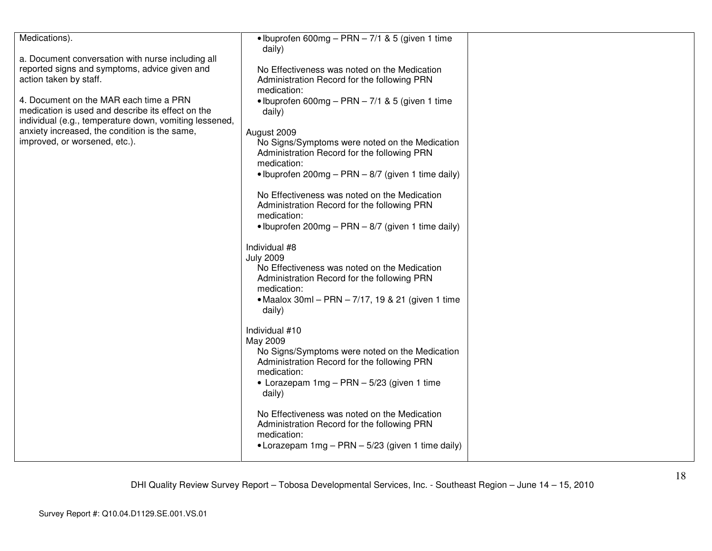| Medications).                                          | • Ibuprofen 600mg – PRN – $7/1$ & 5 (given 1 time    |  |
|--------------------------------------------------------|------------------------------------------------------|--|
|                                                        | daily)                                               |  |
| a. Document conversation with nurse including all      |                                                      |  |
| reported signs and symptoms, advice given and          | No Effectiveness was noted on the Medication         |  |
| action taken by staff.                                 | Administration Record for the following PRN          |  |
|                                                        | medication:                                          |  |
| 4. Document on the MAR each time a PRN                 | • Ibuprofen 600mg – PRN – $7/1$ & 5 (given 1 time    |  |
| medication is used and describe its effect on the      | daily)                                               |  |
| individual (e.g., temperature down, vomiting lessened, |                                                      |  |
| anxiety increased, the condition is the same,          | August 2009                                          |  |
| improved, or worsened, etc.).                          | No Signs/Symptoms were noted on the Medication       |  |
|                                                        | Administration Record for the following PRN          |  |
|                                                        | medication:                                          |  |
|                                                        | • Ibuprofen 200mg – PRN – 8/7 (given 1 time daily)   |  |
|                                                        | No Effectiveness was noted on the Medication         |  |
|                                                        | Administration Record for the following PRN          |  |
|                                                        | medication:                                          |  |
|                                                        | • Ibuprofen 200mg – PRN – $8/7$ (given 1 time daily) |  |
|                                                        |                                                      |  |
|                                                        | Individual #8                                        |  |
|                                                        | <b>July 2009</b>                                     |  |
|                                                        | No Effectiveness was noted on the Medication         |  |
|                                                        | Administration Record for the following PRN          |  |
|                                                        | medication:                                          |  |
|                                                        | • Maalox 30ml - PRN - 7/17, 19 & 21 (given 1 time    |  |
|                                                        | daily)                                               |  |
|                                                        | Individual #10                                       |  |
|                                                        | May 2009                                             |  |
|                                                        | No Signs/Symptoms were noted on the Medication       |  |
|                                                        | Administration Record for the following PRN          |  |
|                                                        | medication:                                          |  |
|                                                        | • Lorazepam 1mg - PRN - 5/23 (given 1 time           |  |
|                                                        | daily)                                               |  |
|                                                        |                                                      |  |
|                                                        | No Effectiveness was noted on the Medication         |  |
|                                                        | Administration Record for the following PRN          |  |
|                                                        | medication:                                          |  |
|                                                        | • Lorazepam 1mg – PRN – 5/23 (given 1 time daily)    |  |
|                                                        |                                                      |  |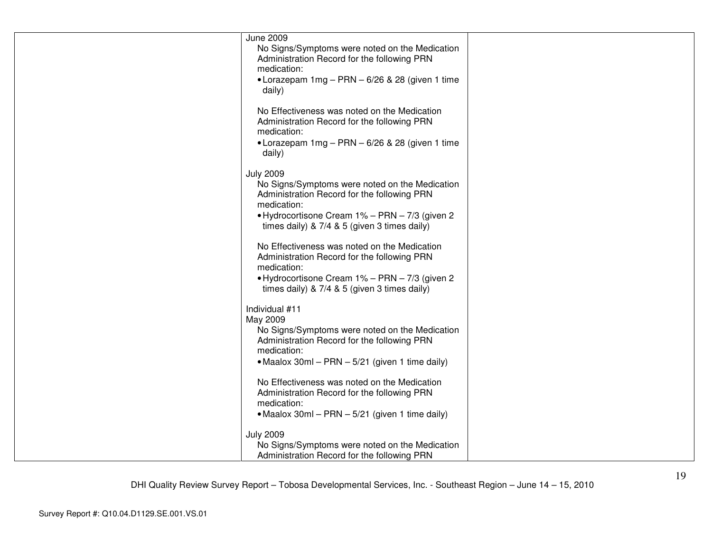| <b>June 2009</b><br>No Signs/Symptoms were noted on the Medication<br>Administration Record for the following PRN<br>medication:<br>• Lorazepam $1mg - PRN - 6/26$ & 28 (given 1 time<br>daily)                                     |  |
|-------------------------------------------------------------------------------------------------------------------------------------------------------------------------------------------------------------------------------------|--|
| No Effectiveness was noted on the Medication<br>Administration Record for the following PRN<br>medication:<br>• Lorazepam 1mg - PRN - 6/26 & 28 (given 1 time<br>daily)                                                             |  |
| <b>July 2009</b><br>No Signs/Symptoms were noted on the Medication<br>Administration Record for the following PRN<br>medication:<br>• Hydrocortisone Cream 1% - PRN - 7/3 (given 2)<br>times daily) & 7/4 & 5 (given 3 times daily) |  |
| No Effectiveness was noted on the Medication<br>Administration Record for the following PRN<br>medication:<br>• Hydrocortisone Cream 1% - PRN - 7/3 (given 2)<br>times daily) & 7/4 & 5 (given 3 times daily)                       |  |
| Individual #11<br>May 2009<br>No Signs/Symptoms were noted on the Medication<br>Administration Record for the following PRN<br>medication:<br>• Maalox 30ml - PRN - 5/21 (given 1 time daily)                                       |  |
| No Effectiveness was noted on the Medication<br>Administration Record for the following PRN<br>medication:<br>• Maalox 30ml – PRN – 5/21 (given 1 time daily)                                                                       |  |
| <b>July 2009</b><br>No Signs/Symptoms were noted on the Medication<br>Administration Record for the following PRN                                                                                                                   |  |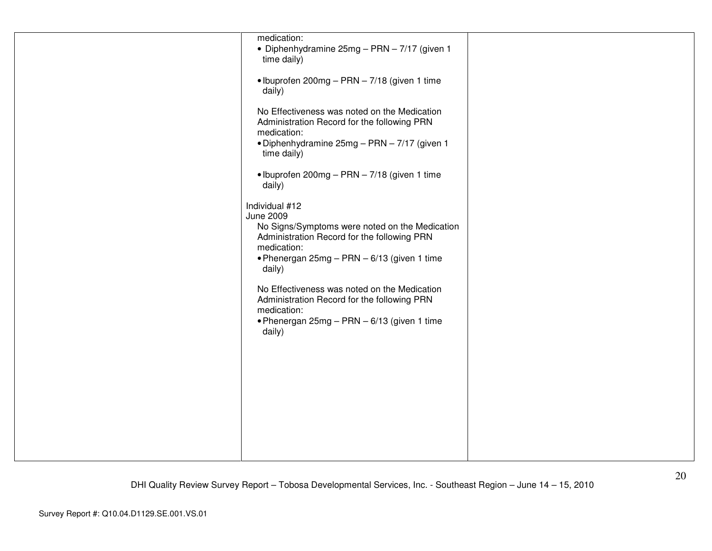| medication:<br>• Diphenhydramine 25mg - PRN - 7/17 (given 1<br>time daily)                                                                                                                                                                                                                                                                                                  |  |
|-----------------------------------------------------------------------------------------------------------------------------------------------------------------------------------------------------------------------------------------------------------------------------------------------------------------------------------------------------------------------------|--|
| • Ibuprofen 200mg - PRN - 7/18 (given 1 time<br>daily)                                                                                                                                                                                                                                                                                                                      |  |
| No Effectiveness was noted on the Medication<br>Administration Record for the following PRN<br>medication:<br>• Diphenhydramine 25mg - PRN - 7/17 (given 1<br>time daily)                                                                                                                                                                                                   |  |
| · Ibuprofen 200mg - PRN - 7/18 (given 1 time<br>daily)                                                                                                                                                                                                                                                                                                                      |  |
| Individual #12<br>June 2009<br>No Signs/Symptoms were noted on the Medication<br>Administration Record for the following PRN<br>medication:<br>. Phenergan 25mg - PRN - 6/13 (given 1 time<br>daily)<br>No Effectiveness was noted on the Medication<br>Administration Record for the following PRN<br>medication:<br>• Phenergan 25mg - PRN - 6/13 (given 1 time<br>daily) |  |
|                                                                                                                                                                                                                                                                                                                                                                             |  |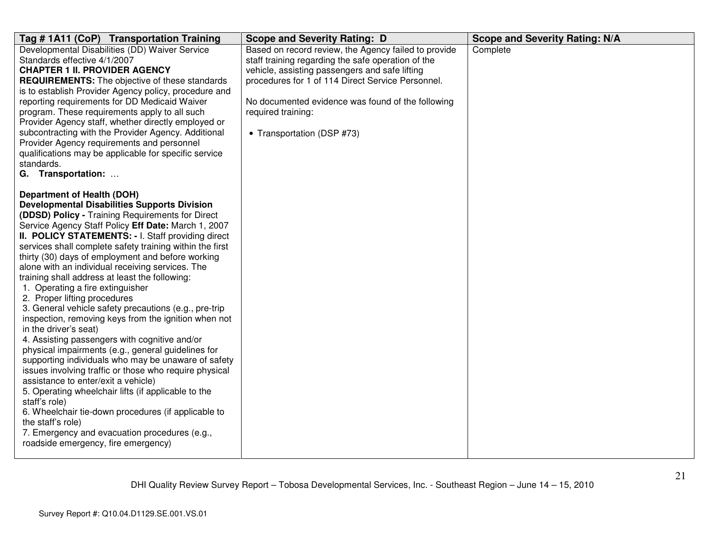| Tag # 1A11 (CoP) Transportation Training                                                                                                                                                                                                                                                                                                                                                                                                                                                                                                                                                                                                                                                                                                                                                                                                                                                                                                                                                                                                                                                                                                                                                                  | <b>Scope and Severity Rating: D</b>                                                                                                                                                                                                                                                                                        | <b>Scope and Severity Rating: N/A</b> |
|-----------------------------------------------------------------------------------------------------------------------------------------------------------------------------------------------------------------------------------------------------------------------------------------------------------------------------------------------------------------------------------------------------------------------------------------------------------------------------------------------------------------------------------------------------------------------------------------------------------------------------------------------------------------------------------------------------------------------------------------------------------------------------------------------------------------------------------------------------------------------------------------------------------------------------------------------------------------------------------------------------------------------------------------------------------------------------------------------------------------------------------------------------------------------------------------------------------|----------------------------------------------------------------------------------------------------------------------------------------------------------------------------------------------------------------------------------------------------------------------------------------------------------------------------|---------------------------------------|
| Developmental Disabilities (DD) Waiver Service<br>Standards effective 4/1/2007<br><b>CHAPTER 1 II. PROVIDER AGENCY</b><br><b>REQUIREMENTS:</b> The objective of these standards<br>is to establish Provider Agency policy, procedure and<br>reporting requirements for DD Medicaid Waiver<br>program. These requirements apply to all such<br>Provider Agency staff, whether directly employed or<br>subcontracting with the Provider Agency. Additional<br>Provider Agency requirements and personnel<br>qualifications may be applicable for specific service<br>standards.<br>G. Transportation:                                                                                                                                                                                                                                                                                                                                                                                                                                                                                                                                                                                                       | Based on record review, the Agency failed to provide<br>staff training regarding the safe operation of the<br>vehicle, assisting passengers and safe lifting<br>procedures for 1 of 114 Direct Service Personnel.<br>No documented evidence was found of the following<br>required training:<br>• Transportation (DSP #73) | Complete                              |
| <b>Department of Health (DOH)</b><br><b>Developmental Disabilities Supports Division</b><br>(DDSD) Policy - Training Requirements for Direct<br>Service Agency Staff Policy Eff Date: March 1, 2007<br>II. POLICY STATEMENTS: - I. Staff providing direct<br>services shall complete safety training within the first<br>thirty (30) days of employment and before working<br>alone with an individual receiving services. The<br>training shall address at least the following:<br>1. Operating a fire extinguisher<br>2. Proper lifting procedures<br>3. General vehicle safety precautions (e.g., pre-trip<br>inspection, removing keys from the ignition when not<br>in the driver's seat)<br>4. Assisting passengers with cognitive and/or<br>physical impairments (e.g., general guidelines for<br>supporting individuals who may be unaware of safety<br>issues involving traffic or those who require physical<br>assistance to enter/exit a vehicle)<br>5. Operating wheelchair lifts (if applicable to the<br>staff's role)<br>6. Wheelchair tie-down procedures (if applicable to<br>the staff's role)<br>7. Emergency and evacuation procedures (e.g.,<br>roadside emergency, fire emergency) |                                                                                                                                                                                                                                                                                                                            |                                       |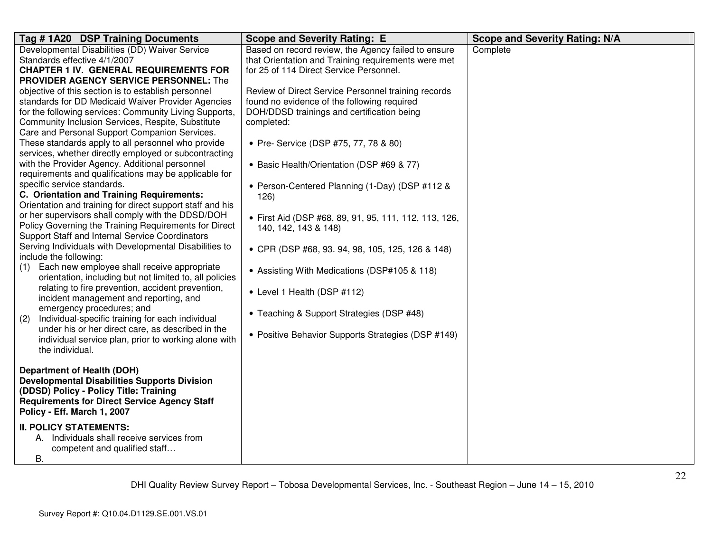| Tag #1A20 DSP Training Documents                                                 | <b>Scope and Severity Rating: E</b>                   | <b>Scope and Severity Rating: N/A</b> |
|----------------------------------------------------------------------------------|-------------------------------------------------------|---------------------------------------|
| Developmental Disabilities (DD) Waiver Service                                   | Based on record review, the Agency failed to ensure   | Complete                              |
| Standards effective 4/1/2007                                                     | that Orientation and Training requirements were met   |                                       |
| <b>CHAPTER 1 IV. GENERAL REQUIREMENTS FOR</b>                                    | for 25 of 114 Direct Service Personnel.               |                                       |
| <b>PROVIDER AGENCY SERVICE PERSONNEL: The</b>                                    |                                                       |                                       |
| objective of this section is to establish personnel                              | Review of Direct Service Personnel training records   |                                       |
| standards for DD Medicaid Waiver Provider Agencies                               | found no evidence of the following required           |                                       |
| for the following services: Community Living Supports,                           | DOH/DDSD trainings and certification being            |                                       |
| Community Inclusion Services, Respite, Substitute                                | completed:                                            |                                       |
| Care and Personal Support Companion Services.                                    |                                                       |                                       |
| These standards apply to all personnel who provide                               | • Pre- Service (DSP #75, 77, 78 & 80)                 |                                       |
| services, whether directly employed or subcontracting                            |                                                       |                                       |
| with the Provider Agency. Additional personnel                                   | • Basic Health/Orientation (DSP #69 & 77)             |                                       |
| requirements and qualifications may be applicable for                            |                                                       |                                       |
| specific service standards.                                                      | • Person-Centered Planning (1-Day) (DSP #112 &        |                                       |
| C. Orientation and Training Requirements:                                        | 126)                                                  |                                       |
| Orientation and training for direct support staff and his                        |                                                       |                                       |
| or her supervisors shall comply with the DDSD/DOH                                | • First Aid (DSP #68, 89, 91, 95, 111, 112, 113, 126, |                                       |
| Policy Governing the Training Requirements for Direct                            | 140, 142, 143 & 148)                                  |                                       |
| Support Staff and Internal Service Coordinators                                  |                                                       |                                       |
| Serving Individuals with Developmental Disabilities to<br>include the following: | • CPR (DSP #68, 93. 94, 98, 105, 125, 126 & 148)      |                                       |
| Each new employee shall receive appropriate                                      |                                                       |                                       |
| (1)<br>orientation, including but not limited to, all policies                   | • Assisting With Medications (DSP#105 & 118)          |                                       |
| relating to fire prevention, accident prevention,                                |                                                       |                                       |
| incident management and reporting, and                                           | • Level 1 Health (DSP #112)                           |                                       |
| emergency procedures; and                                                        |                                                       |                                       |
| Individual-specific training for each individual<br>(2)                          | • Teaching & Support Strategies (DSP #48)             |                                       |
| under his or her direct care, as described in the                                |                                                       |                                       |
| individual service plan, prior to working alone with                             | • Positive Behavior Supports Strategies (DSP #149)    |                                       |
| the individual.                                                                  |                                                       |                                       |
|                                                                                  |                                                       |                                       |
| Department of Health (DOH)                                                       |                                                       |                                       |
| <b>Developmental Disabilities Supports Division</b>                              |                                                       |                                       |
| (DDSD) Policy - Policy Title: Training                                           |                                                       |                                       |
| <b>Requirements for Direct Service Agency Staff</b>                              |                                                       |                                       |
| Policy - Eff. March 1, 2007                                                      |                                                       |                                       |
| <b>II. POLICY STATEMENTS:</b>                                                    |                                                       |                                       |
| A. Individuals shall receive services from                                       |                                                       |                                       |
| competent and qualified staff                                                    |                                                       |                                       |
| В.                                                                               |                                                       |                                       |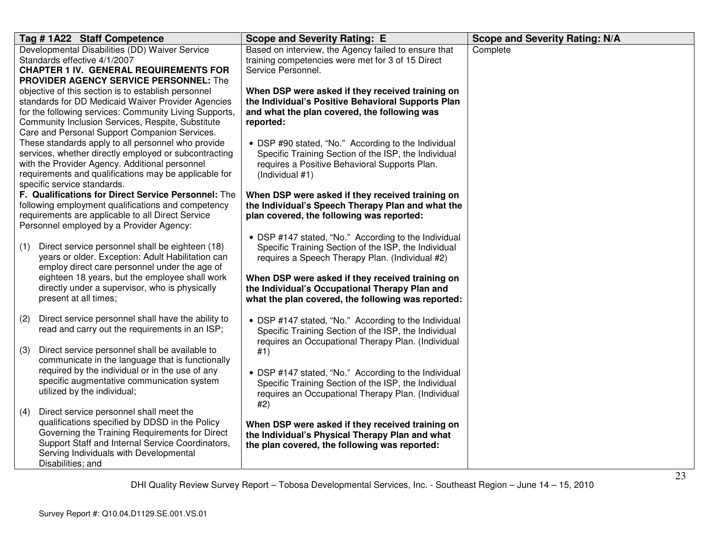| Tag # 1A22 Staff Competence                                                                                  | <b>Scope and Severity Rating: E</b>                                                                        | <b>Scope and Severity Rating: N/A</b> |
|--------------------------------------------------------------------------------------------------------------|------------------------------------------------------------------------------------------------------------|---------------------------------------|
| Developmental Disabilities (DD) Waiver Service<br>Standards effective 4/1/2007                               | Based on interview, the Agency failed to ensure that<br>training competencies were met for 3 of 15 Direct  | Complete                              |
| <b>CHAPTER 1 IV. GENERAL REQUIREMENTS FOR</b>                                                                | Service Personnel.                                                                                         |                                       |
| <b>PROVIDER AGENCY SERVICE PERSONNEL:</b> The                                                                |                                                                                                            |                                       |
| objective of this section is to establish personnel                                                          | When DSP were asked if they received training on                                                           |                                       |
| standards for DD Medicaid Waiver Provider Agencies<br>for the following services: Community Living Supports, | the Individual's Positive Behavioral Supports Plan<br>and what the plan covered, the following was         |                                       |
| Community Inclusion Services, Respite, Substitute                                                            | reported:                                                                                                  |                                       |
| Care and Personal Support Companion Services.                                                                |                                                                                                            |                                       |
| These standards apply to all personnel who provide                                                           | • DSP #90 stated, "No." According to the Individual                                                        |                                       |
| services, whether directly employed or subcontracting<br>with the Provider Agency. Additional personnel      | Specific Training Section of the ISP, the Individual<br>requires a Positive Behavioral Supports Plan.      |                                       |
| requirements and qualifications may be applicable for                                                        | (Individual #1)                                                                                            |                                       |
| specific service standards.                                                                                  |                                                                                                            |                                       |
| F. Qualifications for Direct Service Personnel: The<br>following employment qualifications and competency    | When DSP were asked if they received training on<br>the Individual's Speech Therapy Plan and what the      |                                       |
| requirements are applicable to all Direct Service                                                            | plan covered, the following was reported:                                                                  |                                       |
| Personnel employed by a Provider Agency:                                                                     |                                                                                                            |                                       |
| Direct service personnel shall be eighteen (18)                                                              | • DSP #147 stated, "No." According to the Individual                                                       |                                       |
| (1)<br>years or older. Exception: Adult Habilitation can                                                     | Specific Training Section of the ISP, the Individual<br>requires a Speech Therapy Plan. (Individual #2)    |                                       |
| employ direct care personnel under the age of                                                                |                                                                                                            |                                       |
| eighteen 18 years, but the employee shall work                                                               | When DSP were asked if they received training on                                                           |                                       |
| directly under a supervisor, who is physically<br>present at all times;                                      | the Individual's Occupational Therapy Plan and<br>what the plan covered, the following was reported:       |                                       |
|                                                                                                              |                                                                                                            |                                       |
| Direct service personnel shall have the ability to<br>(2)                                                    | • DSP #147 stated, "No." According to the Individual                                                       |                                       |
| read and carry out the requirements in an ISP;                                                               | Specific Training Section of the ISP, the Individual<br>requires an Occupational Therapy Plan. (Individual |                                       |
| Direct service personnel shall be available to<br>(3)                                                        | #1)                                                                                                        |                                       |
| communicate in the language that is functionally                                                             |                                                                                                            |                                       |
| required by the individual or in the use of any<br>specific augmentative communication system                | • DSP #147 stated, "No." According to the Individual                                                       |                                       |
| utilized by the individual;                                                                                  | Specific Training Section of the ISP, the Individual<br>requires an Occupational Therapy Plan. (Individual |                                       |
|                                                                                                              | #2)                                                                                                        |                                       |
| Direct service personnel shall meet the<br>(4)<br>qualifications specified by DDSD in the Policy             |                                                                                                            |                                       |
| Governing the Training Requirements for Direct                                                               | When DSP were asked if they received training on<br>the Individual's Physical Therapy Plan and what        |                                       |
| Support Staff and Internal Service Coordinators,                                                             | the plan covered, the following was reported:                                                              |                                       |
| Serving Individuals with Developmental                                                                       |                                                                                                            |                                       |
| Disabilities; and                                                                                            |                                                                                                            |                                       |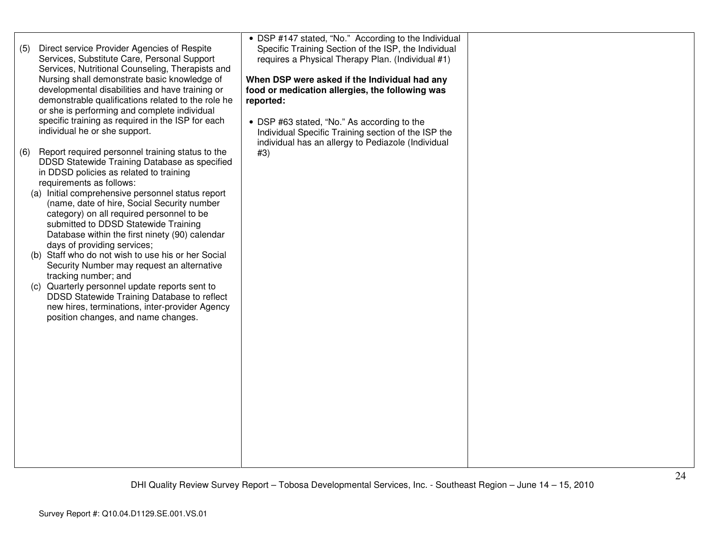| Direct service Provider Agencies of Respite<br>(5)<br>Services, Substitute Care, Personal Support<br>Services, Nutritional Counseling, Therapists and<br>Nursing shall demonstrate basic knowledge of<br>developmental disabilities and have training or<br>demonstrable qualifications related to the role he<br>or she is performing and complete individual<br>specific training as required in the ISP for each<br>individual he or she support.<br>Report required personnel training status to the<br>(6)<br>DDSD Statewide Training Database as specified<br>in DDSD policies as related to training<br>requirements as follows:<br>(a) Initial comprehensive personnel status report<br>(name, date of hire, Social Security number<br>category) on all required personnel to be<br>submitted to DDSD Statewide Training<br>Database within the first ninety (90) calendar<br>days of providing services;<br>(b) Staff who do not wish to use his or her Social<br>Security Number may request an alternative<br>tracking number; and<br>(c) Quarterly personnel update reports sent to<br>DDSD Statewide Training Database to reflect<br>new hires, terminations, inter-provider Agency<br>position changes, and name changes. | • DSP #147 stated, "No." According to the Individual<br>Specific Training Section of the ISP, the Individual<br>requires a Physical Therapy Plan. (Individual #1)<br>When DSP were asked if the Individual had any<br>food or medication allergies, the following was<br>reported:<br>• DSP #63 stated, "No." As according to the<br>Individual Specific Training section of the ISP the<br>individual has an allergy to Pediazole (Individual<br>#3) |  |
|-----------------------------------------------------------------------------------------------------------------------------------------------------------------------------------------------------------------------------------------------------------------------------------------------------------------------------------------------------------------------------------------------------------------------------------------------------------------------------------------------------------------------------------------------------------------------------------------------------------------------------------------------------------------------------------------------------------------------------------------------------------------------------------------------------------------------------------------------------------------------------------------------------------------------------------------------------------------------------------------------------------------------------------------------------------------------------------------------------------------------------------------------------------------------------------------------------------------------------------------|-------------------------------------------------------------------------------------------------------------------------------------------------------------------------------------------------------------------------------------------------------------------------------------------------------------------------------------------------------------------------------------------------------------------------------------------------------|--|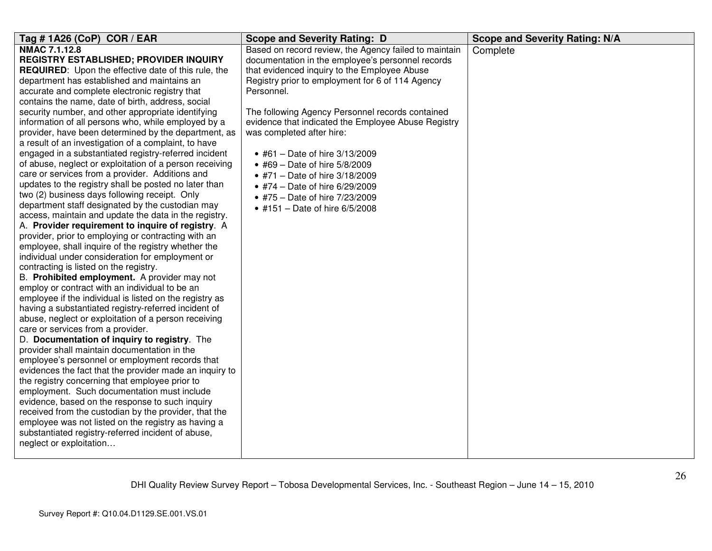| Tag # 1A26 (CoP) COR / EAR                                                                                 | <b>Scope and Severity Rating: D</b>                   | <b>Scope and Severity Rating: N/A</b> |
|------------------------------------------------------------------------------------------------------------|-------------------------------------------------------|---------------------------------------|
| NMAC 7.1.12.8                                                                                              | Based on record review, the Agency failed to maintain | Complete                              |
| <b>REGISTRY ESTABLISHED; PROVIDER INQUIRY</b>                                                              | documentation in the employee's personnel records     |                                       |
| <b>REQUIRED:</b> Upon the effective date of this rule, the                                                 | that evidenced inquiry to the Employee Abuse          |                                       |
| department has established and maintains an                                                                | Registry prior to employment for 6 of 114 Agency      |                                       |
| accurate and complete electronic registry that                                                             | Personnel.                                            |                                       |
| contains the name, date of birth, address, social                                                          |                                                       |                                       |
| security number, and other appropriate identifying                                                         | The following Agency Personnel records contained      |                                       |
| information of all persons who, while employed by a                                                        | evidence that indicated the Employee Abuse Registry   |                                       |
| provider, have been determined by the department, as                                                       | was completed after hire:                             |                                       |
| a result of an investigation of a complaint, to have                                                       |                                                       |                                       |
| engaged in a substantiated registry-referred incident                                                      | • #61 - Date of hire $3/13/2009$                      |                                       |
| of abuse, neglect or exploitation of a person receiving                                                    | • #69 - Date of hire 5/8/2009                         |                                       |
| care or services from a provider. Additions and                                                            | • #71 - Date of hire 3/18/2009                        |                                       |
| updates to the registry shall be posted no later than                                                      | • #74 - Date of hire 6/29/2009                        |                                       |
| two (2) business days following receipt. Only                                                              | • #75 - Date of hire 7/23/2009                        |                                       |
| department staff designated by the custodian may                                                           | • #151 - Date of hire 6/5/2008                        |                                       |
| access, maintain and update the data in the registry.                                                      |                                                       |                                       |
| A. Provider requirement to inquire of registry. A                                                          |                                                       |                                       |
| provider, prior to employing or contracting with an                                                        |                                                       |                                       |
| employee, shall inquire of the registry whether the                                                        |                                                       |                                       |
| individual under consideration for employment or                                                           |                                                       |                                       |
| contracting is listed on the registry.                                                                     |                                                       |                                       |
| B. Prohibited employment. A provider may not                                                               |                                                       |                                       |
| employ or contract with an individual to be an                                                             |                                                       |                                       |
| employee if the individual is listed on the registry as                                                    |                                                       |                                       |
| having a substantiated registry-referred incident of                                                       |                                                       |                                       |
| abuse, neglect or exploitation of a person receiving                                                       |                                                       |                                       |
| care or services from a provider.                                                                          |                                                       |                                       |
| D. Documentation of inquiry to registry. The                                                               |                                                       |                                       |
| provider shall maintain documentation in the                                                               |                                                       |                                       |
| employee's personnel or employment records that<br>evidences the fact that the provider made an inquiry to |                                                       |                                       |
| the registry concerning that employee prior to                                                             |                                                       |                                       |
| employment. Such documentation must include                                                                |                                                       |                                       |
| evidence, based on the response to such inquiry                                                            |                                                       |                                       |
| received from the custodian by the provider, that the                                                      |                                                       |                                       |
| employee was not listed on the registry as having a                                                        |                                                       |                                       |
| substantiated registry-referred incident of abuse,                                                         |                                                       |                                       |
| neglect or exploitation                                                                                    |                                                       |                                       |
|                                                                                                            |                                                       |                                       |
|                                                                                                            |                                                       |                                       |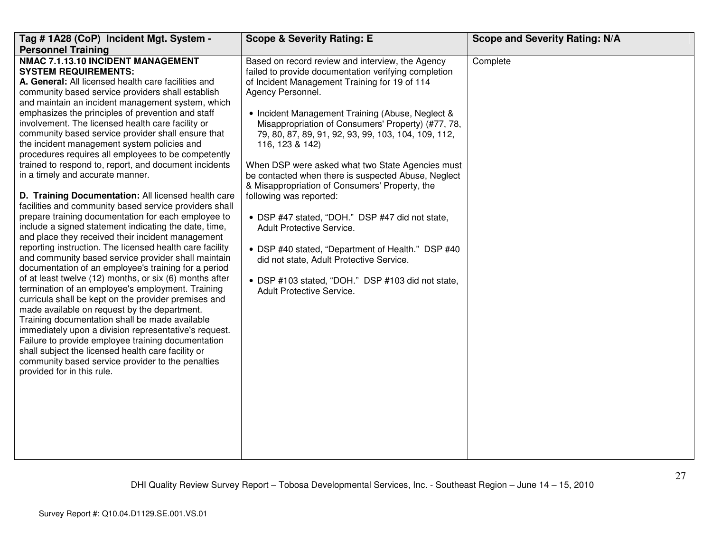| Tag # 1A28 (CoP) Incident Mgt. System -<br><b>Personnel Training</b>                                                                                                                                                                                                                                                                                                                                                                                                                                                                                                                                                                                                                                                                                                                                                                                                                                                                                                                                                                                                                                                                                                                                                                                                                                                                                                                                                                                                                                                                                                                                     | <b>Scope &amp; Severity Rating: E</b>                                                                                                                                                                                                                                                                                                                                                                                                                                                                                                                                                                                                                                                                                                                                                                                         | <b>Scope and Severity Rating: N/A</b> |
|----------------------------------------------------------------------------------------------------------------------------------------------------------------------------------------------------------------------------------------------------------------------------------------------------------------------------------------------------------------------------------------------------------------------------------------------------------------------------------------------------------------------------------------------------------------------------------------------------------------------------------------------------------------------------------------------------------------------------------------------------------------------------------------------------------------------------------------------------------------------------------------------------------------------------------------------------------------------------------------------------------------------------------------------------------------------------------------------------------------------------------------------------------------------------------------------------------------------------------------------------------------------------------------------------------------------------------------------------------------------------------------------------------------------------------------------------------------------------------------------------------------------------------------------------------------------------------------------------------|-------------------------------------------------------------------------------------------------------------------------------------------------------------------------------------------------------------------------------------------------------------------------------------------------------------------------------------------------------------------------------------------------------------------------------------------------------------------------------------------------------------------------------------------------------------------------------------------------------------------------------------------------------------------------------------------------------------------------------------------------------------------------------------------------------------------------------|---------------------------------------|
| NMAC 7.1.13.10 INCIDENT MANAGEMENT<br><b>SYSTEM REQUIREMENTS:</b><br>A. General: All licensed health care facilities and<br>community based service providers shall establish<br>and maintain an incident management system, which<br>emphasizes the principles of prevention and staff<br>involvement. The licensed health care facility or<br>community based service provider shall ensure that<br>the incident management system policies and<br>procedures requires all employees to be competently<br>trained to respond to, report, and document incidents<br>in a timely and accurate manner.<br>D. Training Documentation: All licensed health care<br>facilities and community based service providers shall<br>prepare training documentation for each employee to<br>include a signed statement indicating the date, time,<br>and place they received their incident management<br>reporting instruction. The licensed health care facility<br>and community based service provider shall maintain<br>documentation of an employee's training for a period<br>of at least twelve (12) months, or six (6) months after<br>termination of an employee's employment. Training<br>curricula shall be kept on the provider premises and<br>made available on request by the department.<br>Training documentation shall be made available<br>immediately upon a division representative's request.<br>Failure to provide employee training documentation<br>shall subject the licensed health care facility or<br>community based service provider to the penalties<br>provided for in this rule. | Based on record review and interview, the Agency<br>failed to provide documentation verifying completion<br>of Incident Management Training for 19 of 114<br>Agency Personnel.<br>• Incident Management Training (Abuse, Neglect &<br>Misappropriation of Consumers' Property) (#77, 78,<br>79, 80, 87, 89, 91, 92, 93, 99, 103, 104, 109, 112,<br>116, 123 & 142)<br>When DSP were asked what two State Agencies must<br>be contacted when there is suspected Abuse, Neglect<br>& Misappropriation of Consumers' Property, the<br>following was reported:<br>• DSP #47 stated, "DOH." DSP #47 did not state,<br>Adult Protective Service.<br>• DSP #40 stated, "Department of Health." DSP #40<br>did not state, Adult Protective Service.<br>• DSP #103 stated, "DOH." DSP #103 did not state,<br>Adult Protective Service. | Complete                              |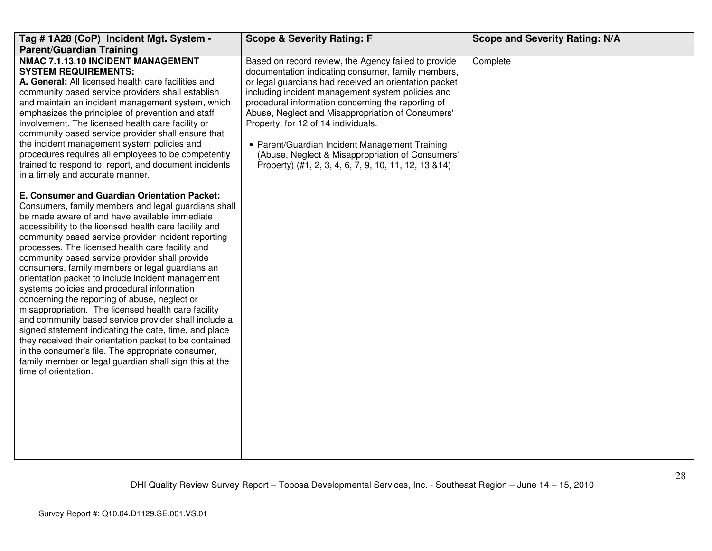| Tag # 1A28 (CoP) Incident Mgt. System -<br><b>Parent/Guardian Training</b>                                                                                                                                                                                                                                                                                                                                                                                                                                                                                                                                                                                                                                                                                                                                                                                                                                                                                   | <b>Scope &amp; Severity Rating: F</b>                                                                                                                                                                                                                                                                                                                                                                                                                                                                                                     | <b>Scope and Severity Rating: N/A</b> |
|--------------------------------------------------------------------------------------------------------------------------------------------------------------------------------------------------------------------------------------------------------------------------------------------------------------------------------------------------------------------------------------------------------------------------------------------------------------------------------------------------------------------------------------------------------------------------------------------------------------------------------------------------------------------------------------------------------------------------------------------------------------------------------------------------------------------------------------------------------------------------------------------------------------------------------------------------------------|-------------------------------------------------------------------------------------------------------------------------------------------------------------------------------------------------------------------------------------------------------------------------------------------------------------------------------------------------------------------------------------------------------------------------------------------------------------------------------------------------------------------------------------------|---------------------------------------|
| NMAC 7.1.13.10 INCIDENT MANAGEMENT<br><b>SYSTEM REQUIREMENTS:</b><br>A. General: All licensed health care facilities and<br>community based service providers shall establish<br>and maintain an incident management system, which<br>emphasizes the principles of prevention and staff<br>involvement. The licensed health care facility or<br>community based service provider shall ensure that<br>the incident management system policies and<br>procedures requires all employees to be competently<br>trained to respond to, report, and document incidents<br>in a timely and accurate manner.                                                                                                                                                                                                                                                                                                                                                        | Based on record review, the Agency failed to provide<br>documentation indicating consumer, family members,<br>or legal guardians had received an orientation packet<br>including incident management system policies and<br>procedural information concerning the reporting of<br>Abuse, Neglect and Misappropriation of Consumers'<br>Property, for 12 of 14 individuals.<br>• Parent/Guardian Incident Management Training<br>(Abuse, Neglect & Misappropriation of Consumers'<br>Property) (#1, 2, 3, 4, 6, 7, 9, 10, 11, 12, 13 & 14) | Complete                              |
| E. Consumer and Guardian Orientation Packet:<br>Consumers, family members and legal guardians shall<br>be made aware of and have available immediate<br>accessibility to the licensed health care facility and<br>community based service provider incident reporting<br>processes. The licensed health care facility and<br>community based service provider shall provide<br>consumers, family members or legal guardians an<br>orientation packet to include incident management<br>systems policies and procedural information<br>concerning the reporting of abuse, neglect or<br>misappropriation. The licensed health care facility<br>and community based service provider shall include a<br>signed statement indicating the date, time, and place<br>they received their orientation packet to be contained<br>in the consumer's file. The appropriate consumer,<br>family member or legal guardian shall sign this at the<br>time of orientation. |                                                                                                                                                                                                                                                                                                                                                                                                                                                                                                                                           |                                       |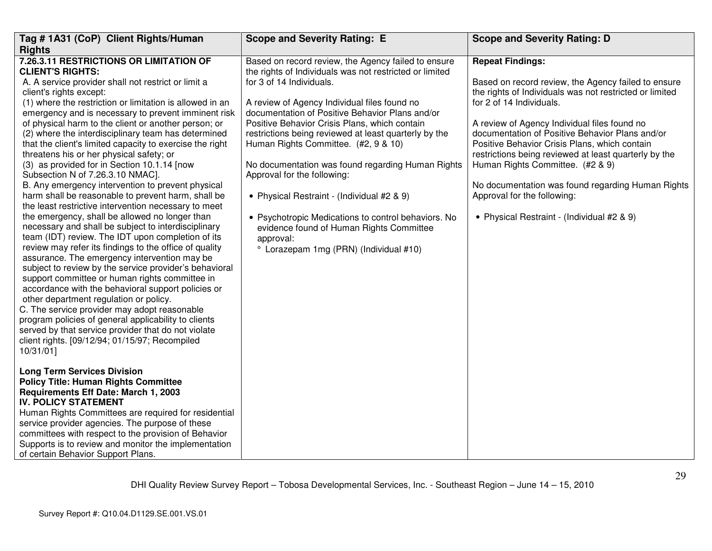| Tag #1A31 (CoP) Client Rights/Human                                                                                                                                                                                                                                                                                                                                                                                                                                                                                                                                                                                                                                                                                                                                                                                                                                                                                                                                                                                                                                                                                                                                                                                                                                                                                                                                                                                                                                                                          | <b>Scope and Severity Rating: E</b>                                                                                                                                                                                                                                                                                                                                                                                                                                                                                                                                                                                                                                                         | <b>Scope and Severity Rating: D</b>                                                                                                                                                                                                                                                                                                                                                                                                                                                                                                                      |
|--------------------------------------------------------------------------------------------------------------------------------------------------------------------------------------------------------------------------------------------------------------------------------------------------------------------------------------------------------------------------------------------------------------------------------------------------------------------------------------------------------------------------------------------------------------------------------------------------------------------------------------------------------------------------------------------------------------------------------------------------------------------------------------------------------------------------------------------------------------------------------------------------------------------------------------------------------------------------------------------------------------------------------------------------------------------------------------------------------------------------------------------------------------------------------------------------------------------------------------------------------------------------------------------------------------------------------------------------------------------------------------------------------------------------------------------------------------------------------------------------------------|---------------------------------------------------------------------------------------------------------------------------------------------------------------------------------------------------------------------------------------------------------------------------------------------------------------------------------------------------------------------------------------------------------------------------------------------------------------------------------------------------------------------------------------------------------------------------------------------------------------------------------------------------------------------------------------------|----------------------------------------------------------------------------------------------------------------------------------------------------------------------------------------------------------------------------------------------------------------------------------------------------------------------------------------------------------------------------------------------------------------------------------------------------------------------------------------------------------------------------------------------------------|
| <b>Rights</b>                                                                                                                                                                                                                                                                                                                                                                                                                                                                                                                                                                                                                                                                                                                                                                                                                                                                                                                                                                                                                                                                                                                                                                                                                                                                                                                                                                                                                                                                                                |                                                                                                                                                                                                                                                                                                                                                                                                                                                                                                                                                                                                                                                                                             |                                                                                                                                                                                                                                                                                                                                                                                                                                                                                                                                                          |
| 7.26.3.11 RESTRICTIONS OR LIMITATION OF<br><b>CLIENT'S RIGHTS:</b><br>A. A service provider shall not restrict or limit a<br>client's rights except:<br>(1) where the restriction or limitation is allowed in an<br>emergency and is necessary to prevent imminent risk<br>of physical harm to the client or another person; or<br>(2) where the interdisciplinary team has determined<br>that the client's limited capacity to exercise the right<br>threatens his or her physical safety; or<br>(3) as provided for in Section 10.1.14 [now<br>Subsection N of 7.26.3.10 NMAC].<br>B. Any emergency intervention to prevent physical<br>harm shall be reasonable to prevent harm, shall be<br>the least restrictive intervention necessary to meet<br>the emergency, shall be allowed no longer than<br>necessary and shall be subject to interdisciplinary<br>team (IDT) review. The IDT upon completion of its<br>review may refer its findings to the office of quality<br>assurance. The emergency intervention may be<br>subject to review by the service provider's behavioral<br>support committee or human rights committee in<br>accordance with the behavioral support policies or<br>other department regulation or policy.<br>C. The service provider may adopt reasonable<br>program policies of general applicability to clients<br>served by that service provider that do not violate<br>client rights. [09/12/94; 01/15/97; Recompiled<br>10/31/01]<br><b>Long Term Services Division</b> | Based on record review, the Agency failed to ensure<br>the rights of Individuals was not restricted or limited<br>for 3 of 14 Individuals.<br>A review of Agency Individual files found no<br>documentation of Positive Behavior Plans and/or<br>Positive Behavior Crisis Plans, which contain<br>restrictions being reviewed at least quarterly by the<br>Human Rights Committee. (#2, 9 & 10)<br>No documentation was found regarding Human Rights<br>Approval for the following:<br>• Physical Restraint - (Individual #2 & 9)<br>• Psychotropic Medications to control behaviors. No<br>evidence found of Human Rights Committee<br>approval:<br>° Lorazepam 1mg (PRN) (Individual #10) | <b>Repeat Findings:</b><br>Based on record review, the Agency failed to ensure<br>the rights of Individuals was not restricted or limited<br>for 2 of 14 Individuals.<br>A review of Agency Individual files found no<br>documentation of Positive Behavior Plans and/or<br>Positive Behavior Crisis Plans, which contain<br>restrictions being reviewed at least quarterly by the<br>Human Rights Committee. (#2 & 9)<br>No documentation was found regarding Human Rights<br>Approval for the following:<br>• Physical Restraint - (Individual #2 & 9) |
| <b>Policy Title: Human Rights Committee</b><br>Requirements Eff Date: March 1, 2003<br><b>IV. POLICY STATEMENT</b><br>Human Rights Committees are required for residential<br>service provider agencies. The purpose of these<br>committees with respect to the provision of Behavior<br>Supports is to review and monitor the implementation                                                                                                                                                                                                                                                                                                                                                                                                                                                                                                                                                                                                                                                                                                                                                                                                                                                                                                                                                                                                                                                                                                                                                                |                                                                                                                                                                                                                                                                                                                                                                                                                                                                                                                                                                                                                                                                                             |                                                                                                                                                                                                                                                                                                                                                                                                                                                                                                                                                          |
| of certain Behavior Support Plans.                                                                                                                                                                                                                                                                                                                                                                                                                                                                                                                                                                                                                                                                                                                                                                                                                                                                                                                                                                                                                                                                                                                                                                                                                                                                                                                                                                                                                                                                           |                                                                                                                                                                                                                                                                                                                                                                                                                                                                                                                                                                                                                                                                                             |                                                                                                                                                                                                                                                                                                                                                                                                                                                                                                                                                          |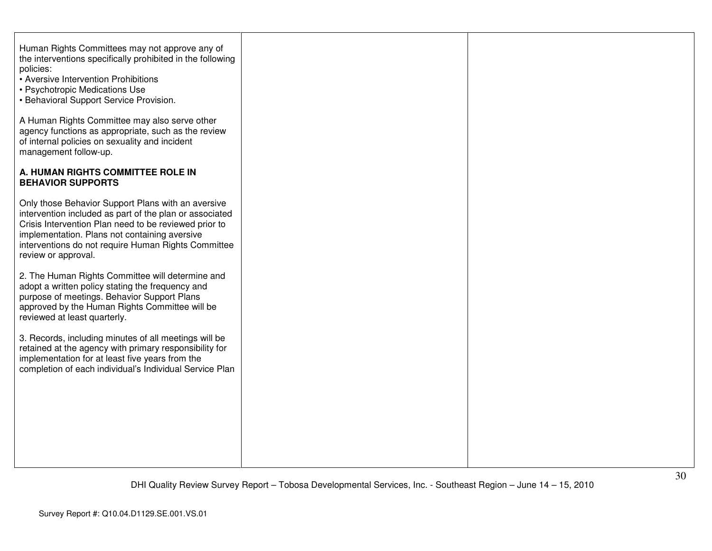| Human Rights Committees may not approve any of<br>the interventions specifically prohibited in the following<br>policies:<br>• Aversive Intervention Prohibitions<br>• Psychotropic Medications Use<br>• Behavioral Support Service Provision.                                                        |  |
|-------------------------------------------------------------------------------------------------------------------------------------------------------------------------------------------------------------------------------------------------------------------------------------------------------|--|
| A Human Rights Committee may also serve other<br>agency functions as appropriate, such as the review<br>of internal policies on sexuality and incident<br>management follow-up.                                                                                                                       |  |
| A. HUMAN RIGHTS COMMITTEE ROLE IN<br><b>BEHAVIOR SUPPORTS</b>                                                                                                                                                                                                                                         |  |
| Only those Behavior Support Plans with an aversive<br>intervention included as part of the plan or associated<br>Crisis Intervention Plan need to be reviewed prior to<br>implementation. Plans not containing aversive<br>interventions do not require Human Rights Committee<br>review or approval. |  |
| 2. The Human Rights Committee will determine and<br>adopt a written policy stating the frequency and<br>purpose of meetings. Behavior Support Plans<br>approved by the Human Rights Committee will be<br>reviewed at least quarterly.                                                                 |  |
| 3. Records, including minutes of all meetings will be<br>retained at the agency with primary responsibility for<br>implementation for at least five years from the<br>completion of each individual's Individual Service Plan                                                                         |  |
|                                                                                                                                                                                                                                                                                                       |  |
|                                                                                                                                                                                                                                                                                                       |  |
|                                                                                                                                                                                                                                                                                                       |  |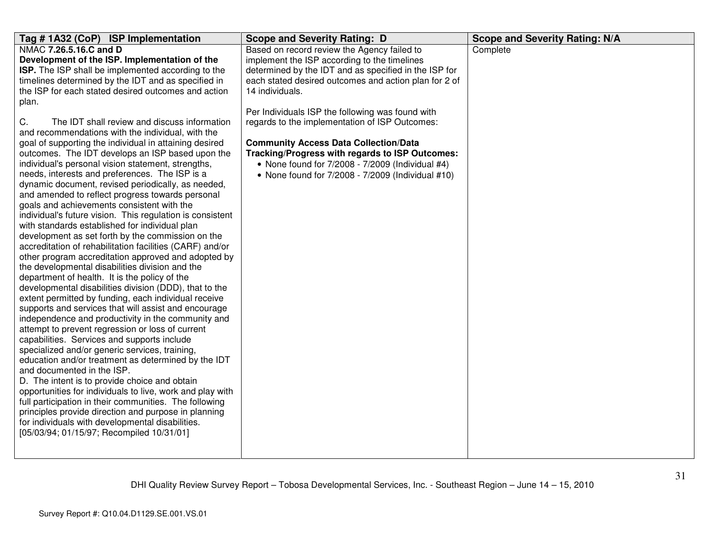| Tag # 1A32 (CoP) ISP Implementation                       | <b>Scope and Severity Rating: D</b>                   | <b>Scope and Severity Rating: N/A</b> |
|-----------------------------------------------------------|-------------------------------------------------------|---------------------------------------|
| NMAC 7.26.5.16.C and D                                    | Based on record review the Agency failed to           | Complete                              |
| Development of the ISP. Implementation of the             | implement the ISP according to the timelines          |                                       |
| ISP. The ISP shall be implemented according to the        | determined by the IDT and as specified in the ISP for |                                       |
| timelines determined by the IDT and as specified in       | each stated desired outcomes and action plan for 2 of |                                       |
| the ISP for each stated desired outcomes and action       | 14 individuals.                                       |                                       |
| plan.                                                     |                                                       |                                       |
|                                                           | Per Individuals ISP the following was found with      |                                       |
| C.<br>The IDT shall review and discuss information        | regards to the implementation of ISP Outcomes:        |                                       |
| and recommendations with the individual, with the         |                                                       |                                       |
| goal of supporting the individual in attaining desired    | <b>Community Access Data Collection/Data</b>          |                                       |
| outcomes. The IDT develops an ISP based upon the          | Tracking/Progress with regards to ISP Outcomes:       |                                       |
| individual's personal vision statement, strengths,        | • None found for $7/2008 - 7/2009$ (Individual #4)    |                                       |
| needs, interests and preferences. The ISP is a            | • None found for 7/2008 - 7/2009 (Individual #10)     |                                       |
| dynamic document, revised periodically, as needed,        |                                                       |                                       |
| and amended to reflect progress towards personal          |                                                       |                                       |
| goals and achievements consistent with the                |                                                       |                                       |
| individual's future vision. This regulation is consistent |                                                       |                                       |
| with standards established for individual plan            |                                                       |                                       |
| development as set forth by the commission on the         |                                                       |                                       |
| accreditation of rehabilitation facilities (CARF) and/or  |                                                       |                                       |
| other program accreditation approved and adopted by       |                                                       |                                       |
| the developmental disabilities division and the           |                                                       |                                       |
| department of health. It is the policy of the             |                                                       |                                       |
| developmental disabilities division (DDD), that to the    |                                                       |                                       |
| extent permitted by funding, each individual receive      |                                                       |                                       |
| supports and services that will assist and encourage      |                                                       |                                       |
| independence and productivity in the community and        |                                                       |                                       |
| attempt to prevent regression or loss of current          |                                                       |                                       |
| capabilities. Services and supports include               |                                                       |                                       |
| specialized and/or generic services, training,            |                                                       |                                       |
| education and/or treatment as determined by the IDT       |                                                       |                                       |
| and documented in the ISP.                                |                                                       |                                       |
| D. The intent is to provide choice and obtain             |                                                       |                                       |
| opportunities for individuals to live, work and play with |                                                       |                                       |
| full participation in their communities. The following    |                                                       |                                       |
| principles provide direction and purpose in planning      |                                                       |                                       |
| for individuals with developmental disabilities.          |                                                       |                                       |
| [05/03/94; 01/15/97; Recompiled 10/31/01]                 |                                                       |                                       |
|                                                           |                                                       |                                       |
|                                                           |                                                       |                                       |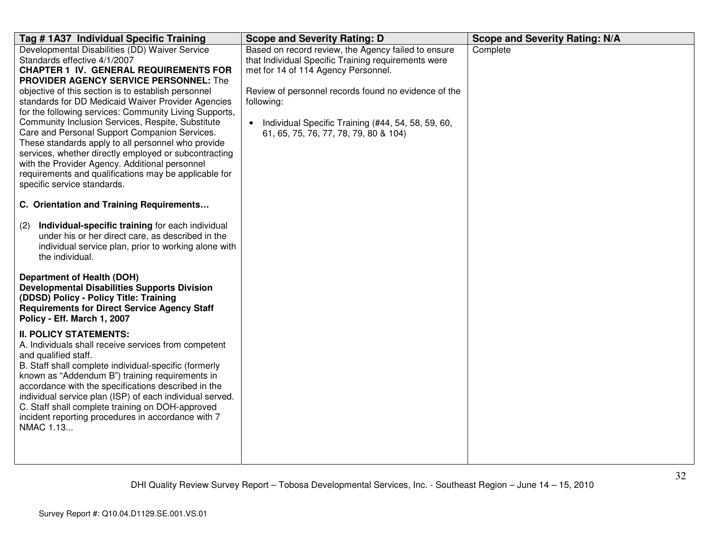| Tag # 1A37 Individual Specific Training                                                                                                                                                                                                                                                                                                                                                                                                                                                                                                                                                                                                                                                                         | <b>Scope and Severity Rating: D</b>                                                                                                                                                                                                                                                                                                 | <b>Scope and Severity Rating: N/A</b> |
|-----------------------------------------------------------------------------------------------------------------------------------------------------------------------------------------------------------------------------------------------------------------------------------------------------------------------------------------------------------------------------------------------------------------------------------------------------------------------------------------------------------------------------------------------------------------------------------------------------------------------------------------------------------------------------------------------------------------|-------------------------------------------------------------------------------------------------------------------------------------------------------------------------------------------------------------------------------------------------------------------------------------------------------------------------------------|---------------------------------------|
| Developmental Disabilities (DD) Waiver Service<br>Standards effective 4/1/2007<br><b>CHAPTER 1 IV. GENERAL REQUIREMENTS FOR</b><br>PROVIDER AGENCY SERVICE PERSONNEL: The<br>objective of this section is to establish personnel<br>standards for DD Medicaid Waiver Provider Agencies<br>for the following services: Community Living Supports,<br>Community Inclusion Services, Respite, Substitute<br>Care and Personal Support Companion Services.<br>These standards apply to all personnel who provide<br>services, whether directly employed or subcontracting<br>with the Provider Agency. Additional personnel<br>requirements and qualifications may be applicable for<br>specific service standards. | Based on record review, the Agency failed to ensure<br>that Individual Specific Training requirements were<br>met for 14 of 114 Agency Personnel.<br>Review of personnel records found no evidence of the<br>following:<br>Individual Specific Training (#44, 54, 58, 59, 60,<br>$\bullet$<br>61, 65, 75, 76, 77, 78, 79, 80 & 104) | Complete                              |
| C. Orientation and Training Requirements                                                                                                                                                                                                                                                                                                                                                                                                                                                                                                                                                                                                                                                                        |                                                                                                                                                                                                                                                                                                                                     |                                       |
| Individual-specific training for each individual<br>(2)<br>under his or her direct care, as described in the<br>individual service plan, prior to working alone with<br>the individual.<br><b>Department of Health (DOH)</b><br><b>Developmental Disabilities Supports Division</b><br>(DDSD) Policy - Policy Title: Training<br><b>Requirements for Direct Service Agency Staff</b>                                                                                                                                                                                                                                                                                                                            |                                                                                                                                                                                                                                                                                                                                     |                                       |
| Policy - Eff. March 1, 2007<br><b>II. POLICY STATEMENTS:</b><br>A. Individuals shall receive services from competent<br>and qualified staff.<br>B. Staff shall complete individual-specific (formerly<br>known as "Addendum B") training requirements in<br>accordance with the specifications described in the<br>individual service plan (ISP) of each individual served.<br>C. Staff shall complete training on DOH-approved<br>incident reporting procedures in accordance with 7<br>NMAC 1.13                                                                                                                                                                                                              |                                                                                                                                                                                                                                                                                                                                     |                                       |

Survey Report #: Q10.04.D1129.SE.001.VS.01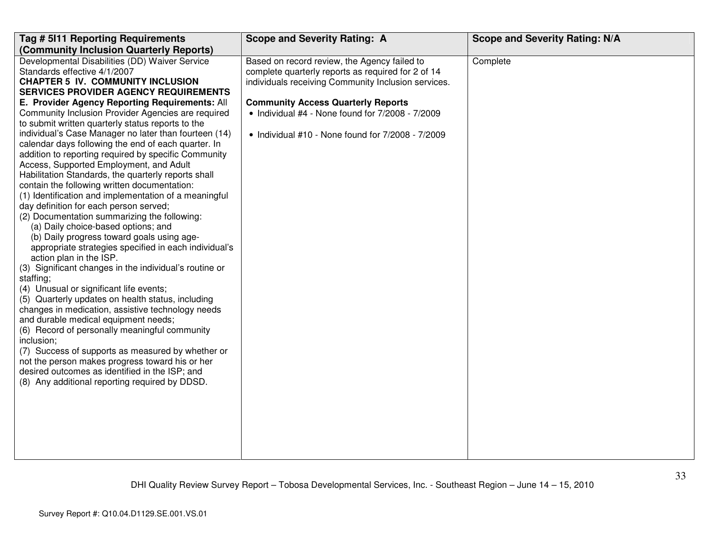| Tag # 5111 Reporting Requirements                                                | <b>Scope and Severity Rating: A</b>                          | <b>Scope and Severity Rating: N/A</b> |
|----------------------------------------------------------------------------------|--------------------------------------------------------------|---------------------------------------|
| (Community Inclusion Quarterly Reports)                                          |                                                              |                                       |
| Developmental Disabilities (DD) Waiver Service                                   | Based on record review, the Agency failed to                 | Complete                              |
| Standards effective 4/1/2007                                                     | complete quarterly reports as required for 2 of 14           |                                       |
| <b>CHAPTER 5 IV. COMMUNITY INCLUSION</b>                                         | individuals receiving Community Inclusion services.          |                                       |
| <b>SERVICES PROVIDER AGENCY REQUIREMENTS</b>                                     |                                                              |                                       |
| E. Provider Agency Reporting Requirements: All                                   | <b>Community Access Quarterly Reports</b>                    |                                       |
| Community Inclusion Provider Agencies are required                               | $\bullet$ Individual #4 - None found for $7/2008$ - $7/2009$ |                                       |
| to submit written quarterly status reports to the                                |                                                              |                                       |
| individual's Case Manager no later than fourteen (14)                            | • Individual #10 - None found for 7/2008 - 7/2009            |                                       |
| calendar days following the end of each quarter. In                              |                                                              |                                       |
| addition to reporting required by specific Community                             |                                                              |                                       |
| Access, Supported Employment, and Adult                                          |                                                              |                                       |
| Habilitation Standards, the quarterly reports shall                              |                                                              |                                       |
| contain the following written documentation:                                     |                                                              |                                       |
| (1) Identification and implementation of a meaningful                            |                                                              |                                       |
| day definition for each person served;                                           |                                                              |                                       |
| (2) Documentation summarizing the following:                                     |                                                              |                                       |
| (a) Daily choice-based options; and                                              |                                                              |                                       |
| (b) Daily progress toward goals using age-                                       |                                                              |                                       |
| appropriate strategies specified in each individual's<br>action plan in the ISP. |                                                              |                                       |
| (3) Significant changes in the individual's routine or                           |                                                              |                                       |
| staffing;                                                                        |                                                              |                                       |
| (4) Unusual or significant life events;                                          |                                                              |                                       |
| (5) Quarterly updates on health status, including                                |                                                              |                                       |
| changes in medication, assistive technology needs                                |                                                              |                                       |
| and durable medical equipment needs;                                             |                                                              |                                       |
| (6) Record of personally meaningful community                                    |                                                              |                                       |
| inclusion;                                                                       |                                                              |                                       |
| (7) Success of supports as measured by whether or                                |                                                              |                                       |
| not the person makes progress toward his or her                                  |                                                              |                                       |
| desired outcomes as identified in the ISP; and                                   |                                                              |                                       |
| (8) Any additional reporting required by DDSD.                                   |                                                              |                                       |
|                                                                                  |                                                              |                                       |
|                                                                                  |                                                              |                                       |
|                                                                                  |                                                              |                                       |
|                                                                                  |                                                              |                                       |
|                                                                                  |                                                              |                                       |
|                                                                                  |                                                              |                                       |
|                                                                                  |                                                              |                                       |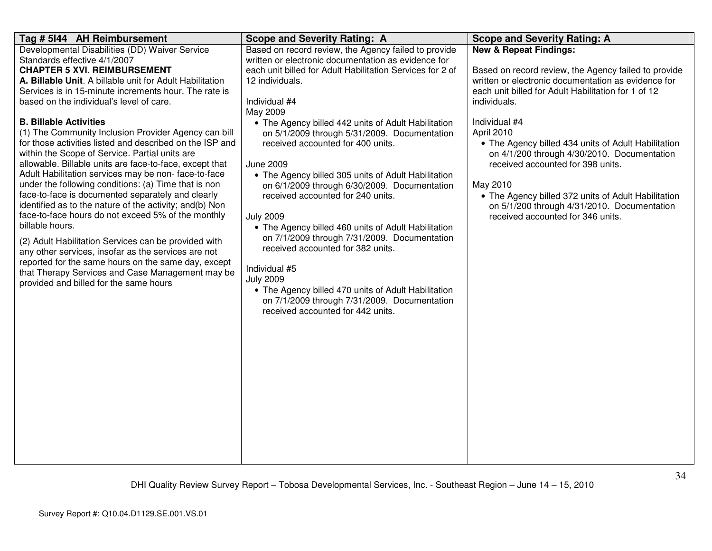| Tag # 5144 AH Reimbursement                                                                                                                                                                                                                                                                                                                                                                                                                                                                                                                                                                                                                                                                                                                                                                                                                                                                                                                                                                                                                                                                                                          | <b>Scope and Severity Rating: A</b>                                                                                                                                                                                                                                                                                                                                                                                                                                                                                                                                                                                                                                                                                                                                                                                                                                                   | <b>Scope and Severity Rating: A</b>                                                                                                                                                                                                                                                                                                                                                                                                                                                                                                                      |
|--------------------------------------------------------------------------------------------------------------------------------------------------------------------------------------------------------------------------------------------------------------------------------------------------------------------------------------------------------------------------------------------------------------------------------------------------------------------------------------------------------------------------------------------------------------------------------------------------------------------------------------------------------------------------------------------------------------------------------------------------------------------------------------------------------------------------------------------------------------------------------------------------------------------------------------------------------------------------------------------------------------------------------------------------------------------------------------------------------------------------------------|---------------------------------------------------------------------------------------------------------------------------------------------------------------------------------------------------------------------------------------------------------------------------------------------------------------------------------------------------------------------------------------------------------------------------------------------------------------------------------------------------------------------------------------------------------------------------------------------------------------------------------------------------------------------------------------------------------------------------------------------------------------------------------------------------------------------------------------------------------------------------------------|----------------------------------------------------------------------------------------------------------------------------------------------------------------------------------------------------------------------------------------------------------------------------------------------------------------------------------------------------------------------------------------------------------------------------------------------------------------------------------------------------------------------------------------------------------|
| Developmental Disabilities (DD) Waiver Service<br>Standards effective 4/1/2007<br><b>CHAPTER 5 XVI. REIMBURSEMENT</b><br>A. Billable Unit. A billable unit for Adult Habilitation<br>Services is in 15-minute increments hour. The rate is<br>based on the individual's level of care.<br><b>B. Billable Activities</b><br>(1) The Community Inclusion Provider Agency can bill<br>for those activities listed and described on the ISP and<br>within the Scope of Service. Partial units are<br>allowable. Billable units are face-to-face, except that<br>Adult Habilitation services may be non-face-to-face<br>under the following conditions: (a) Time that is non<br>face-to-face is documented separately and clearly<br>identified as to the nature of the activity; and(b) Non<br>face-to-face hours do not exceed 5% of the monthly<br>billable hours.<br>(2) Adult Habilitation Services can be provided with<br>any other services, insofar as the services are not<br>reported for the same hours on the same day, except<br>that Therapy Services and Case Management may be<br>provided and billed for the same hours | Based on record review, the Agency failed to provide<br>written or electronic documentation as evidence for<br>each unit billed for Adult Habilitation Services for 2 of<br>12 individuals.<br>Individual #4<br>May 2009<br>• The Agency billed 442 units of Adult Habilitation<br>on 5/1/2009 through 5/31/2009. Documentation<br>received accounted for 400 units.<br><b>June 2009</b><br>• The Agency billed 305 units of Adult Habilitation<br>on 6/1/2009 through 6/30/2009. Documentation<br>received accounted for 240 units.<br><b>July 2009</b><br>• The Agency billed 460 units of Adult Habilitation<br>on 7/1/2009 through 7/31/2009. Documentation<br>received accounted for 382 units.<br>Individual #5<br><b>July 2009</b><br>• The Agency billed 470 units of Adult Habilitation<br>on 7/1/2009 through 7/31/2009. Documentation<br>received accounted for 442 units. | <b>New &amp; Repeat Findings:</b><br>Based on record review, the Agency failed to provide<br>written or electronic documentation as evidence for<br>each unit billed for Adult Habilitation for 1 of 12<br>individuals.<br>Individual #4<br>April 2010<br>• The Agency billed 434 units of Adult Habilitation<br>on 4/1/200 through 4/30/2010. Documentation<br>received accounted for 398 units.<br>May 2010<br>• The Agency billed 372 units of Adult Habilitation<br>on 5/1/200 through 4/31/2010. Documentation<br>received accounted for 346 units. |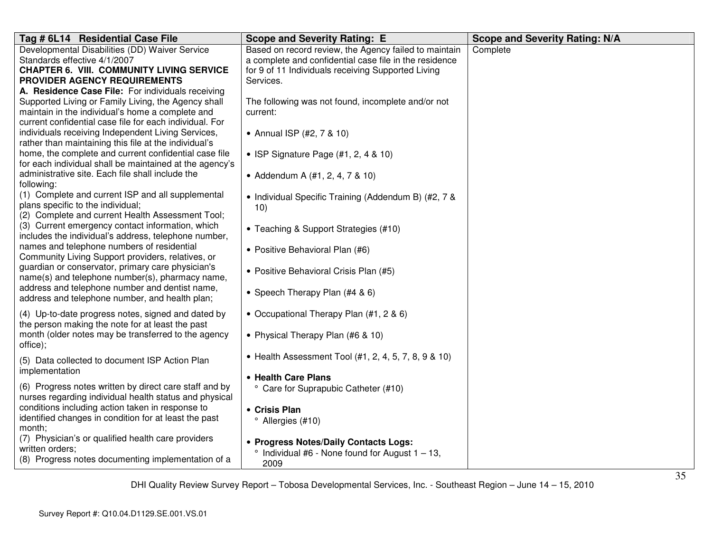| Tag # 6L14 Residential Case File                                                                            | <b>Scope and Severity Rating: E</b>                     | <b>Scope and Severity Rating: N/A</b> |
|-------------------------------------------------------------------------------------------------------------|---------------------------------------------------------|---------------------------------------|
| Developmental Disabilities (DD) Waiver Service                                                              | Based on record review, the Agency failed to maintain   | Complete                              |
| Standards effective 4/1/2007                                                                                | a complete and confidential case file in the residence  |                                       |
| <b>CHAPTER 6. VIII. COMMUNITY LIVING SERVICE</b>                                                            | for 9 of 11 Individuals receiving Supported Living      |                                       |
| PROVIDER AGENCY REQUIREMENTS                                                                                | Services.                                               |                                       |
| A. Residence Case File: For individuals receiving                                                           |                                                         |                                       |
| Supported Living or Family Living, the Agency shall                                                         | The following was not found, incomplete and/or not      |                                       |
| maintain in the individual's home a complete and                                                            | current:                                                |                                       |
| current confidential case file for each individual. For                                                     |                                                         |                                       |
| individuals receiving Independent Living Services,                                                          | • Annual ISP (#2, 7 & 10)                               |                                       |
| rather than maintaining this file at the individual's                                                       |                                                         |                                       |
| home, the complete and current confidential case file                                                       | • ISP Signature Page (#1, 2, 4 & 10)                    |                                       |
| for each individual shall be maintained at the agency's<br>administrative site. Each file shall include the |                                                         |                                       |
| following:                                                                                                  | • Addendum A (#1, 2, 4, 7 & 10)                         |                                       |
| (1) Complete and current ISP and all supplemental                                                           |                                                         |                                       |
| plans specific to the individual;                                                                           | • Individual Specific Training (Addendum B) (#2, 7 &    |                                       |
| (2) Complete and current Health Assessment Tool;                                                            | 10)                                                     |                                       |
| (3) Current emergency contact information, which                                                            |                                                         |                                       |
| includes the individual's address, telephone number,                                                        | • Teaching & Support Strategies (#10)                   |                                       |
| names and telephone numbers of residential                                                                  | • Positive Behavioral Plan (#6)                         |                                       |
| Community Living Support providers, relatives, or                                                           |                                                         |                                       |
| guardian or conservator, primary care physician's                                                           | • Positive Behavioral Crisis Plan (#5)                  |                                       |
| name(s) and telephone number(s), pharmacy name,                                                             |                                                         |                                       |
| address and telephone number and dentist name,                                                              | • Speech Therapy Plan (#4 & 6)                          |                                       |
| address and telephone number, and health plan;                                                              |                                                         |                                       |
| (4) Up-to-date progress notes, signed and dated by                                                          | • Occupational Therapy Plan (#1, 2 & 6)                 |                                       |
| the person making the note for at least the past                                                            |                                                         |                                       |
| month (older notes may be transferred to the agency                                                         | • Physical Therapy Plan (#6 & 10)                       |                                       |
| office);                                                                                                    |                                                         |                                       |
|                                                                                                             | • Health Assessment Tool (#1, 2, 4, 5, 7, 8, 9 & 10)    |                                       |
| (5) Data collected to document ISP Action Plan<br>implementation                                            |                                                         |                                       |
|                                                                                                             | • Health Care Plans                                     |                                       |
| (6) Progress notes written by direct care staff and by                                                      | ° Care for Suprapubic Catheter (#10)                    |                                       |
| nurses regarding individual health status and physical                                                      |                                                         |                                       |
| conditions including action taken in response to                                                            | • Crisis Plan                                           |                                       |
| identified changes in condition for at least the past                                                       | <sup>o</sup> Allergies (#10)                            |                                       |
| month;                                                                                                      |                                                         |                                       |
| (7) Physician's or qualified health care providers                                                          | • Progress Notes/Daily Contacts Logs:                   |                                       |
| written orders;                                                                                             | $\degree$ Individual #6 - None found for August 1 - 13, |                                       |
| (8) Progress notes documenting implementation of a                                                          | 2009                                                    |                                       |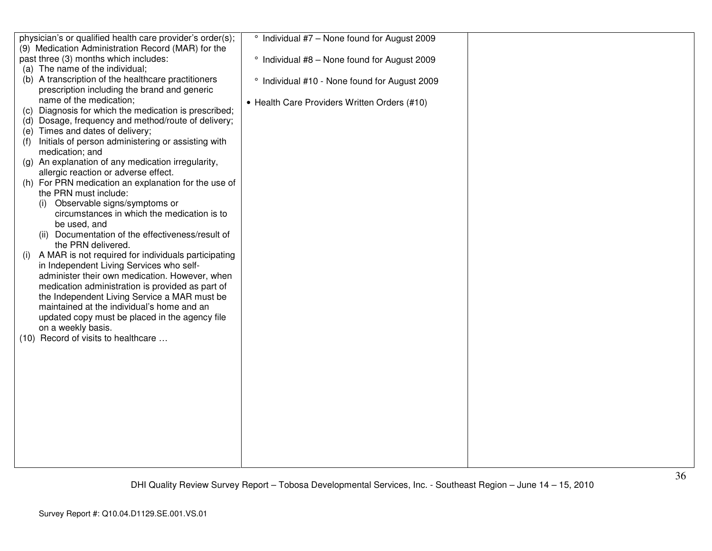|     | physician's or qualified health care provider's order(s); | ° Individual #7 - None found for August 2009  |  |
|-----|-----------------------------------------------------------|-----------------------------------------------|--|
|     | (9) Medication Administration Record (MAR) for the        |                                               |  |
|     | past three (3) months which includes:                     | ° Individual #8 - None found for August 2009  |  |
|     | (a) The name of the individual;                           |                                               |  |
|     | (b) A transcription of the healthcare practitioners       | ° Individual #10 - None found for August 2009 |  |
|     | prescription including the brand and generic              |                                               |  |
|     | name of the medication;                                   | • Health Care Providers Written Orders (#10)  |  |
| (C) | Diagnosis for which the medication is prescribed;         |                                               |  |
|     | (d) Dosage, frequency and method/route of delivery;       |                                               |  |
| (e) | Times and dates of delivery;                              |                                               |  |
| (f) | Initials of person administering or assisting with        |                                               |  |
|     | medication; and                                           |                                               |  |
|     | (g) An explanation of any medication irregularity,        |                                               |  |
|     | allergic reaction or adverse effect.                      |                                               |  |
|     | (h) For PRN medication an explanation for the use of      |                                               |  |
|     | the PRN must include:                                     |                                               |  |
|     | Observable signs/symptoms or<br>(i)                       |                                               |  |
|     | circumstances in which the medication is to               |                                               |  |
|     | be used, and                                              |                                               |  |
|     | (ii) Documentation of the effectiveness/result of         |                                               |  |
|     | the PRN delivered.                                        |                                               |  |
|     | A MAR is not required for individuals participating       |                                               |  |
|     | in Independent Living Services who self-                  |                                               |  |
|     | administer their own medication. However, when            |                                               |  |
|     | medication administration is provided as part of          |                                               |  |
|     | the Independent Living Service a MAR must be              |                                               |  |
|     | maintained at the individual's home and an                |                                               |  |
|     | updated copy must be placed in the agency file            |                                               |  |
|     | on a weekly basis.                                        |                                               |  |
|     | (10) Record of visits to healthcare                       |                                               |  |
|     |                                                           |                                               |  |
|     |                                                           |                                               |  |
|     |                                                           |                                               |  |
|     |                                                           |                                               |  |
|     |                                                           |                                               |  |
|     |                                                           |                                               |  |
|     |                                                           |                                               |  |
|     |                                                           |                                               |  |
|     |                                                           |                                               |  |
|     |                                                           |                                               |  |
|     |                                                           |                                               |  |
|     |                                                           |                                               |  |